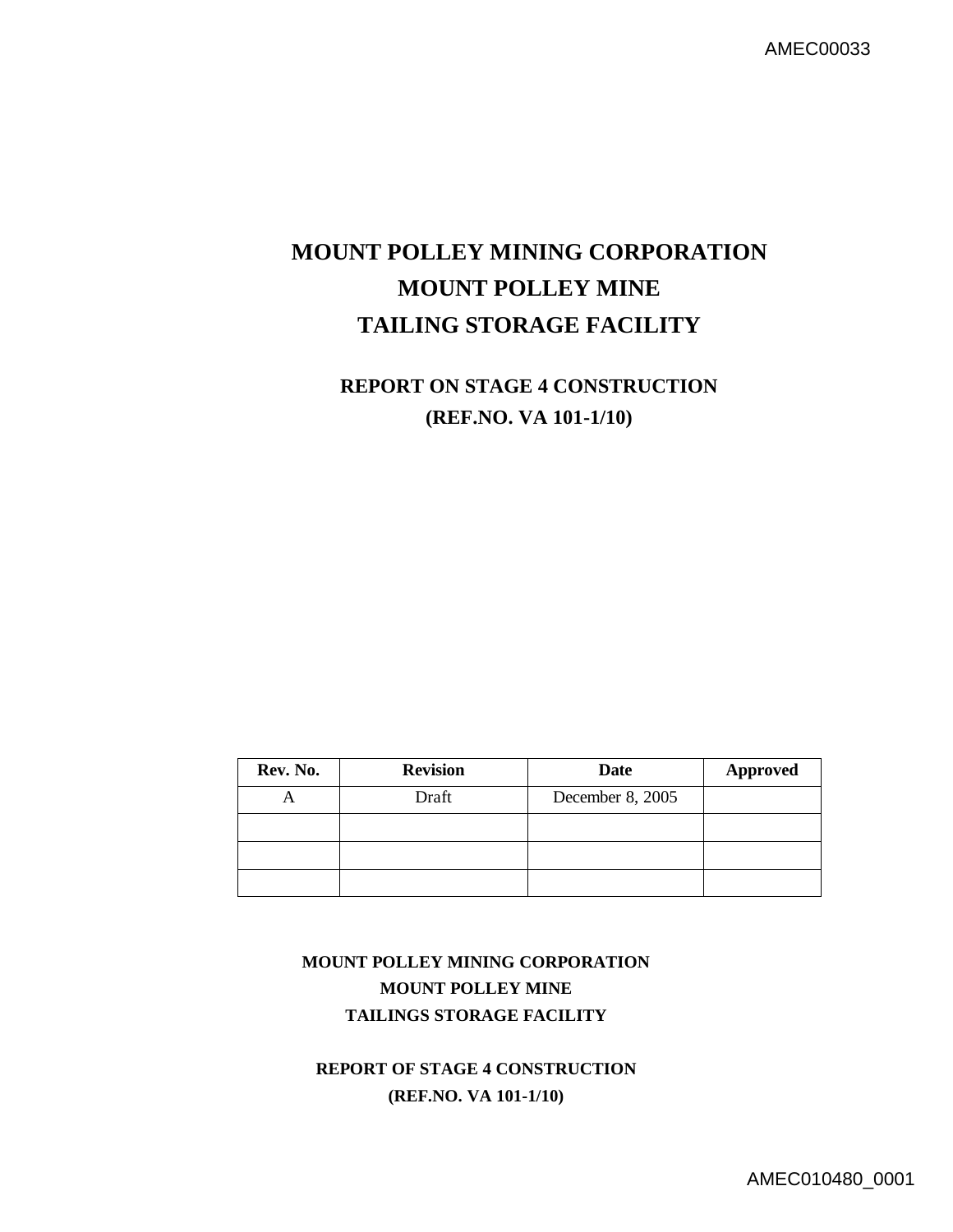# **MOUNT POLLEY MINING CORPORATION MOUNT POLLEY MINE TAILING STORAGE FACILITY**

## **REPORT ON STAGE 4 CONSTRUCTION (REF.NO. VA 101-1/10)**

| Rev. No. | <b>Revision</b> | <b>Date</b>      | <b>Approved</b> |
|----------|-----------------|------------------|-----------------|
| −        | Draft           | December 8, 2005 |                 |
|          |                 |                  |                 |
|          |                 |                  |                 |
|          |                 |                  |                 |

## **MOUNT POLLEY MINING CORPORATION MOUNT POLLEY MINE TAILINGS STORAGE FACILITY**

**REPORT OF STAGE 4 CONSTRUCTION (REF.NO. VA 101-1/10)**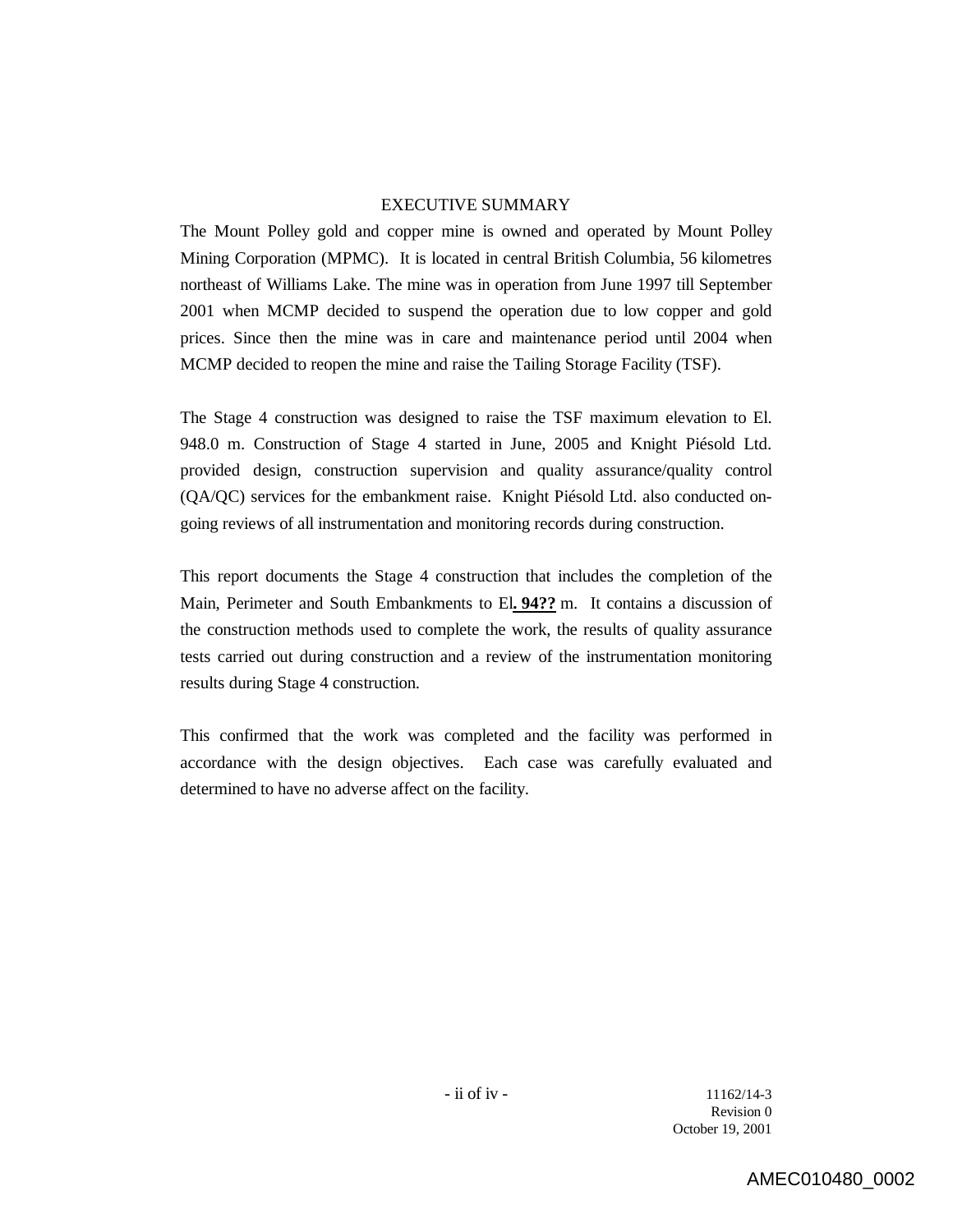#### EXECUTIVE SUMMARY

The Mount Polley gold and copper mine is owned and operated by Mount Polley Mining Corporation (MPMC). It is located in central British Columbia, 56 kilometres northeast of Williams Lake. The mine was in operation from June 1997 till September 2001 when MCMP decided to suspend the operation due to low copper and gold prices. Since then the mine was in care and maintenance period until 2004 when MCMP decided to reopen the mine and raise the Tailing Storage Facility (TSF).

The Stage 4 construction was designed to raise the TSF maximum elevation to El. 948.0 m. Construction of Stage 4 started in June, 2005 and Knight Piésold Ltd. provided design, construction supervision and quality assurance/quality control (QA/QC) services for the embankment raise. Knight Piésold Ltd. also conducted ongoing reviews of all instrumentation and monitoring records during construction.

This report documents the Stage 4 construction that includes the completion of the Main, Perimeter and South Embankments to El**. 94??** m. It contains a discussion of the construction methods used to complete the work, the results of quality assurance tests carried out during construction and a review of the instrumentation monitoring results during Stage 4 construction.

This confirmed that the work was completed and the facility was performed in accordance with the design objectives. Each case was carefully evaluated and determined to have no adverse affect on the facility.

> $-$  ii of iv  $-$  11162/14-3 Revision 0 October 19, 2001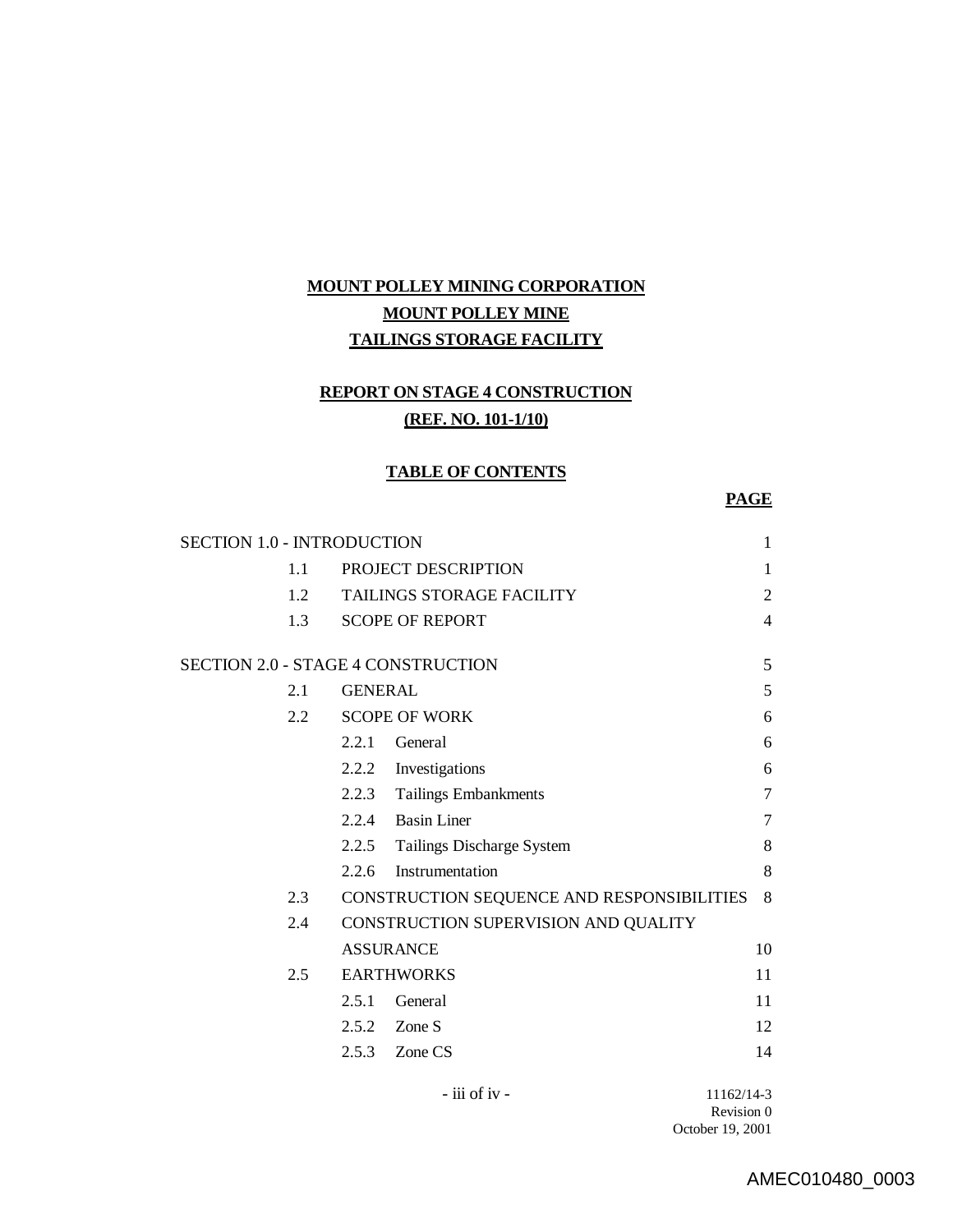## **MOUNT POLLEY MINING CORPORATION MOUNT POLLEY MINE TAILINGS STORAGE FACILITY**

## **REPORT ON STAGE 4 CONSTRUCTION (REF. NO. 101-1/10)**

#### **TABLE OF CONTENTS**

### **PAGE**

| <b>SECTION 1.0 - INTRODUCTION</b>  |                |                                            | $\mathbf{1}$   |
|------------------------------------|----------------|--------------------------------------------|----------------|
| 1.1                                |                | PROJECT DESCRIPTION                        | 1              |
| 1.2                                |                | TAILINGS STORAGE FACILITY                  | $\overline{2}$ |
| 1.3                                |                | <b>SCOPE OF REPORT</b>                     | 4              |
| SECTION 2.0 - STAGE 4 CONSTRUCTION |                |                                            | 5              |
| 2.1                                | <b>GENERAL</b> |                                            | 5              |
| 2.2                                |                | <b>SCOPE OF WORK</b>                       | 6              |
|                                    | 2.2.1          | General                                    | 6              |
|                                    |                | 2.2.2 Investigations                       | 6              |
|                                    |                | 2.2.3 Tailings Embankments                 | 7              |
|                                    | 2.2.4          | <b>Basin Liner</b>                         | 7              |
|                                    |                | 2.2.5 Tailings Discharge System            | 8              |
|                                    | 2.2.6          | Instrumentation                            | 8              |
| 2.3                                |                | CONSTRUCTION SEQUENCE AND RESPONSIBILITIES | 8              |
| 2.4                                |                | CONSTRUCTION SUPERVISION AND QUALITY       |                |
|                                    |                | <b>ASSURANCE</b>                           | 10             |
| 2.5                                |                | <b>EARTHWORKS</b>                          | 11             |
|                                    | 2.5.1          | General                                    | 11             |
|                                    |                | $2.5.2$ Zone S                             | 12             |
|                                    |                | $2.5.3$ Zone CS                            | 14             |
|                                    |                | - iii of iv -                              | 11162/14-3     |

Revision 0 October 19, 2001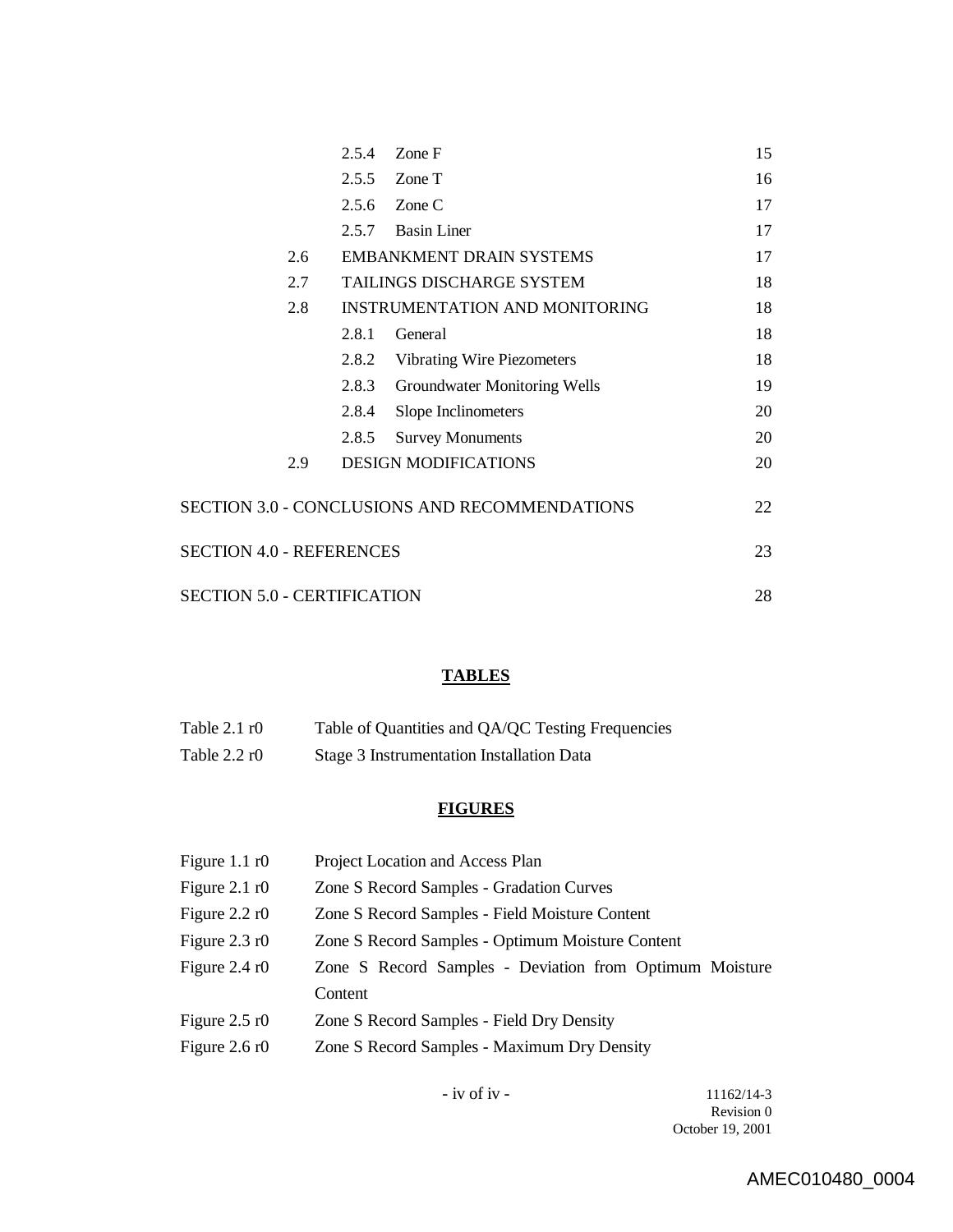|                                               |     | 2.5.4 | Zone F                                | 15 |
|-----------------------------------------------|-----|-------|---------------------------------------|----|
|                                               |     | 2.5.5 | Zone T                                | 16 |
|                                               |     | 2.5.6 | Zone C                                | 17 |
|                                               |     | 2.5.7 | <b>Basin Liner</b>                    | 17 |
|                                               | 2.6 |       | <b>EMBANKMENT DRAIN SYSTEMS</b>       | 17 |
|                                               | 2.7 |       | TAILINGS DISCHARGE SYSTEM             | 18 |
|                                               | 2.8 |       | <b>INSTRUMENTATION AND MONITORING</b> | 18 |
|                                               |     | 2.8.1 | General                               | 18 |
|                                               |     | 2.8.2 | <b>Vibrating Wire Piezometers</b>     | 18 |
|                                               |     | 2.8.3 | Groundwater Monitoring Wells          | 19 |
|                                               |     | 2.8.4 | Slope Inclinometers                   | 20 |
|                                               |     | 2.8.5 | <b>Survey Monuments</b>               | 20 |
|                                               | 2.9 |       | <b>DESIGN MODIFICATIONS</b>           | 20 |
| SECTION 3.0 - CONCLUSIONS AND RECOMMENDATIONS |     | 22    |                                       |    |
| <b>SECTION 4.0 - REFERENCES</b>               |     | 23    |                                       |    |
| <b>SECTION 5.0 - CERTIFICATION</b>            |     | 28    |                                       |    |

## **TABLES**

| Table $2.1 \text{ r}0$ | Table of Quantities and QA/QC Testing Frequencies |
|------------------------|---------------------------------------------------|
| Table $2.2 \text{ r0}$ | Stage 3 Instrumentation Installation Data         |

## **FIGURES**

| Figure $1.1 \text{ r0}$ | Project Location and Access Plan                        |
|-------------------------|---------------------------------------------------------|
| Figure $2.1 \text{ r}0$ | Zone S Record Samples - Gradation Curves                |
| Figure $2.2 \text{ r}0$ | Zone S Record Samples - Field Moisture Content          |
| Figure $2.3 \text{ r0}$ | Zone S Record Samples - Optimum Moisture Content        |
| Figure $2.4 \text{ r}0$ | Zone S Record Samples - Deviation from Optimum Moisture |
|                         | Content                                                 |
| Figure $2.5 \text{ r}0$ | Zone S Record Samples - Field Dry Density               |
| Figure $2.6 \text{ r}0$ | Zone S Record Samples - Maximum Dry Density             |
|                         |                                                         |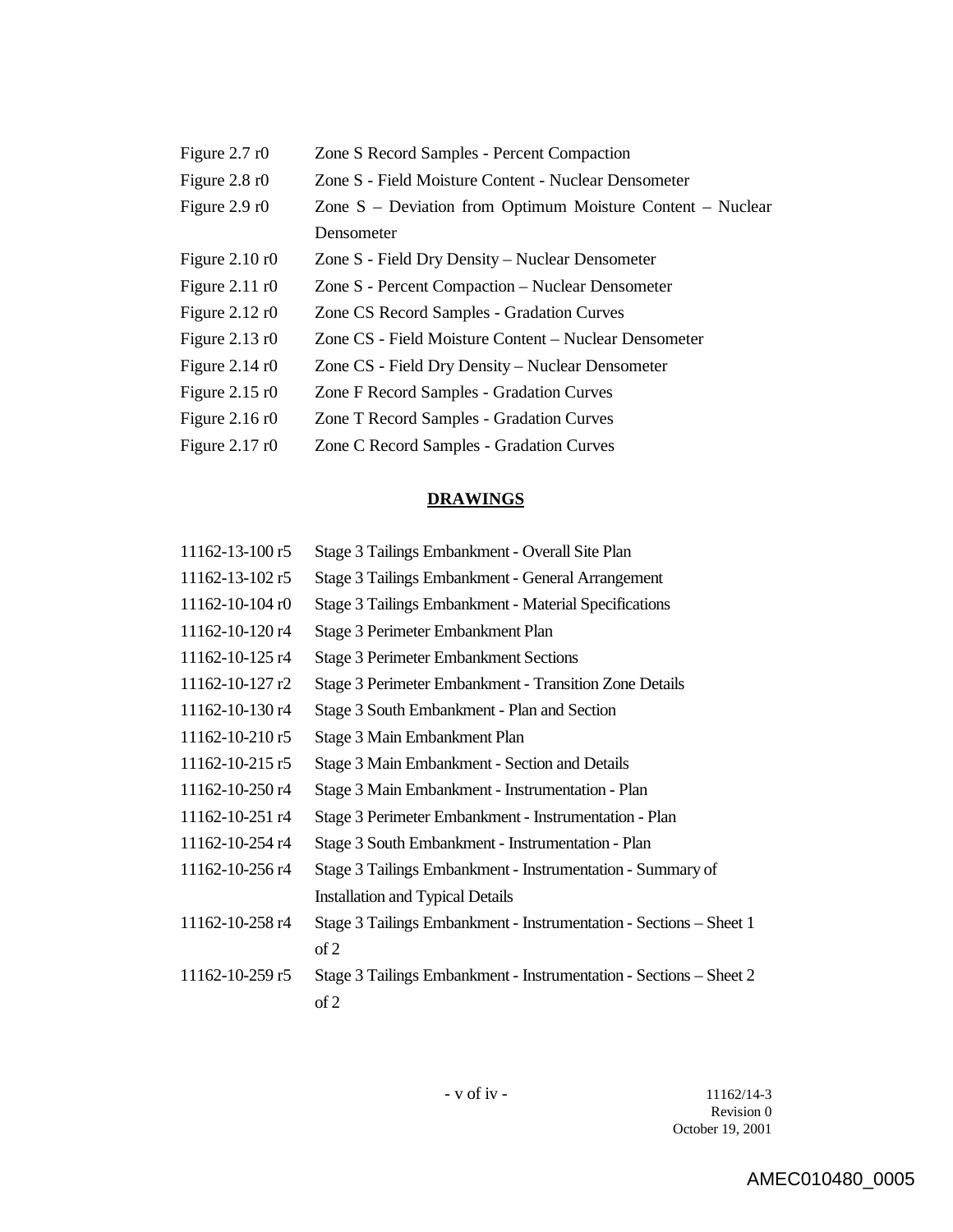| Figure $2.7 \text{ r}0$  | Zone S Record Samples - Percent Compaction                 |
|--------------------------|------------------------------------------------------------|
| Figure $2.8 \text{ r}0$  | Zone S - Field Moisture Content - Nuclear Densometer       |
| Figure $2.9 \text{ r}0$  | Zone S – Deviation from Optimum Moisture Content – Nuclear |
|                          | Densometer                                                 |
| Figure $2.10 \text{ r}0$ | Zone S - Field Dry Density – Nuclear Densometer            |
| Figure $2.11 \text{ r}0$ | Zone S - Percent Compaction – Nuclear Densometer           |
| Figure $2.12 \text{ r}0$ | Zone CS Record Samples - Gradation Curves                  |
| Figure $2.13 \text{ r}0$ | Zone CS - Field Moisture Content - Nuclear Densometer      |
| Figure $2.14 \text{ r}0$ | Zone CS - Field Dry Density – Nuclear Densometer           |
| Figure $2.15 \text{ r}0$ | Zone F Record Samples - Gradation Curves                   |
| Figure $2.16 \text{ r}0$ | Zone T Record Samples - Gradation Curves                   |
| Figure $2.17 \text{ r}0$ | Zone C Record Samples - Gradation Curves                   |

## **DRAWINGS**

| 11162-13-100 r5       | Stage 3 Tailings Embankment - Overall Site Plan                    |
|-----------------------|--------------------------------------------------------------------|
| $11162 - 13 - 102$ r5 | Stage 3 Tailings Embankment - General Arrangement                  |
| $11162 - 10 - 104$ r0 | <b>Stage 3 Tailings Embankment - Material Specifications</b>       |
| 11162-10-120 r4       | Stage 3 Perimeter Embankment Plan                                  |
| 11162-10-125 r4       | <b>Stage 3 Perimeter Embankment Sections</b>                       |
| 11162-10-127 r2       | Stage 3 Perimeter Embankment - Transition Zone Details             |
| 11162-10-130 r4       | Stage 3 South Embankment - Plan and Section                        |
| $11162 - 10 - 210$ r5 | Stage 3 Main Embankment Plan                                       |
| 11162-10-215 r5       | Stage 3 Main Embankment - Section and Details                      |
| 11162-10-250 r4       | Stage 3 Main Embankment - Instrumentation - Plan                   |
| 11162-10-251 r4       | Stage 3 Perimeter Embankment - Instrumentation - Plan              |
| 11162-10-254 r4       | Stage 3 South Embankment - Instrumentation - Plan                  |
| 11162-10-256 r4       | Stage 3 Tailings Embankment - Instrumentation - Summary of         |
|                       | <b>Installation and Typical Details</b>                            |
| 11162-10-258 r4       | Stage 3 Tailings Embankment - Instrumentation - Sections - Sheet 1 |
|                       | of 2                                                               |
| 11162-10-259 r5       | Stage 3 Tailings Embankment - Instrumentation - Sections - Sheet 2 |
|                       | of 2                                                               |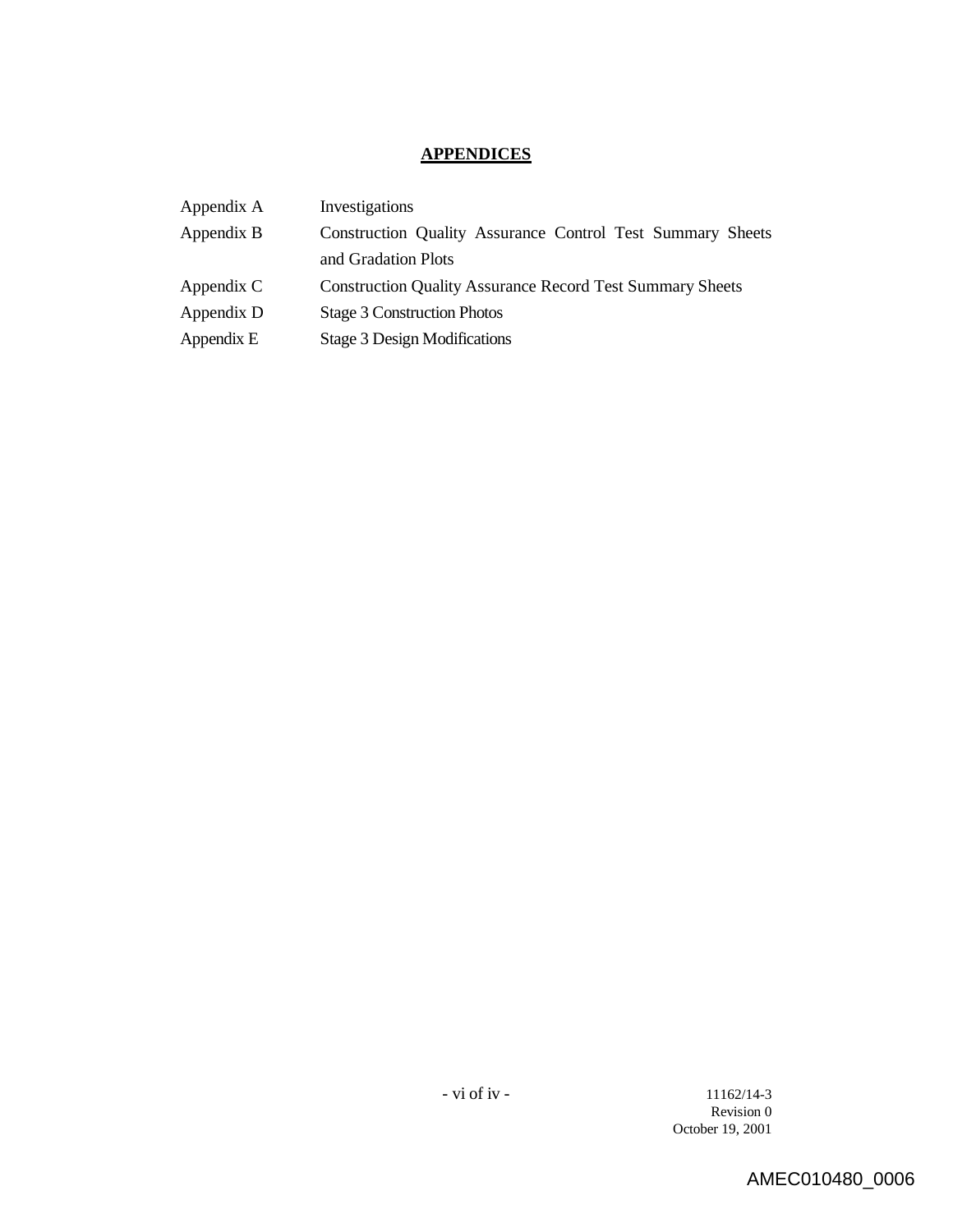## **APPENDICES**

| Appendix A | Investigations                                                   |
|------------|------------------------------------------------------------------|
| Appendix B | Construction Quality Assurance Control Test Summary Sheets       |
|            | and Gradation Plots                                              |
| Appendix C | <b>Construction Quality Assurance Record Test Summary Sheets</b> |
| Appendix D | <b>Stage 3 Construction Photos</b>                               |
| Appendix E | <b>Stage 3 Design Modifications</b>                              |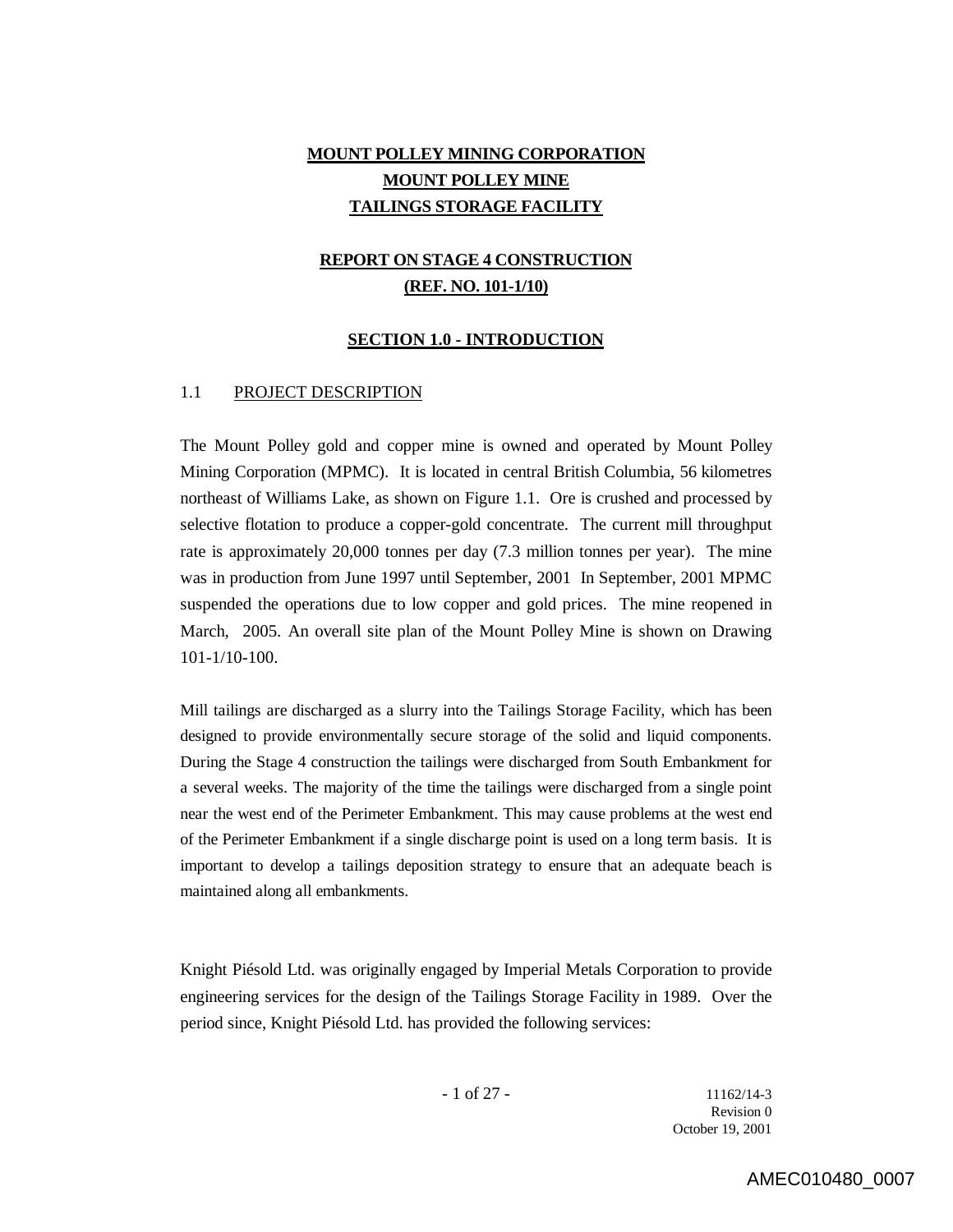## **MOUNT POLLEY MINING CORPORATION MOUNT POLLEY MINE TAILINGS STORAGE FACILITY**

## **REPORT ON STAGE 4 CONSTRUCTION (REF. NO. 101-1/10)**

#### **SECTION 1.0 - INTRODUCTION**

#### 1.1 PROJECT DESCRIPTION

The Mount Polley gold and copper mine is owned and operated by Mount Polley Mining Corporation (MPMC). It is located in central British Columbia, 56 kilometres northeast of Williams Lake, as shown on Figure 1.1. Ore is crushed and processed by selective flotation to produce a copper-gold concentrate. The current mill throughput rate is approximately 20,000 tonnes per day (7.3 million tonnes per year). The mine was in production from June 1997 until September, 2001 In September, 2001 MPMC suspended the operations due to low copper and gold prices. The mine reopened in March, 2005. An overall site plan of the Mount Polley Mine is shown on Drawing 101-1/10-100.

Mill tailings are discharged as a slurry into the Tailings Storage Facility, which has been designed to provide environmentally secure storage of the solid and liquid components. During the Stage 4 construction the tailings were discharged from South Embankment for a several weeks. The majority of the time the tailings were discharged from a single point near the west end of the Perimeter Embankment. This may cause problems at the west end of the Perimeter Embankment if a single discharge point is used on a long term basis. It is important to develop a tailings deposition strategy to ensure that an adequate beach is maintained along all embankments.

Knight Piésold Ltd. was originally engaged by Imperial Metals Corporation to provide engineering services for the design of the Tailings Storage Facility in 1989. Over the period since, Knight Piésold Ltd. has provided the following services:

 $-1$  of 27  $-$  11162/14-3 Revision 0 October 19, 2001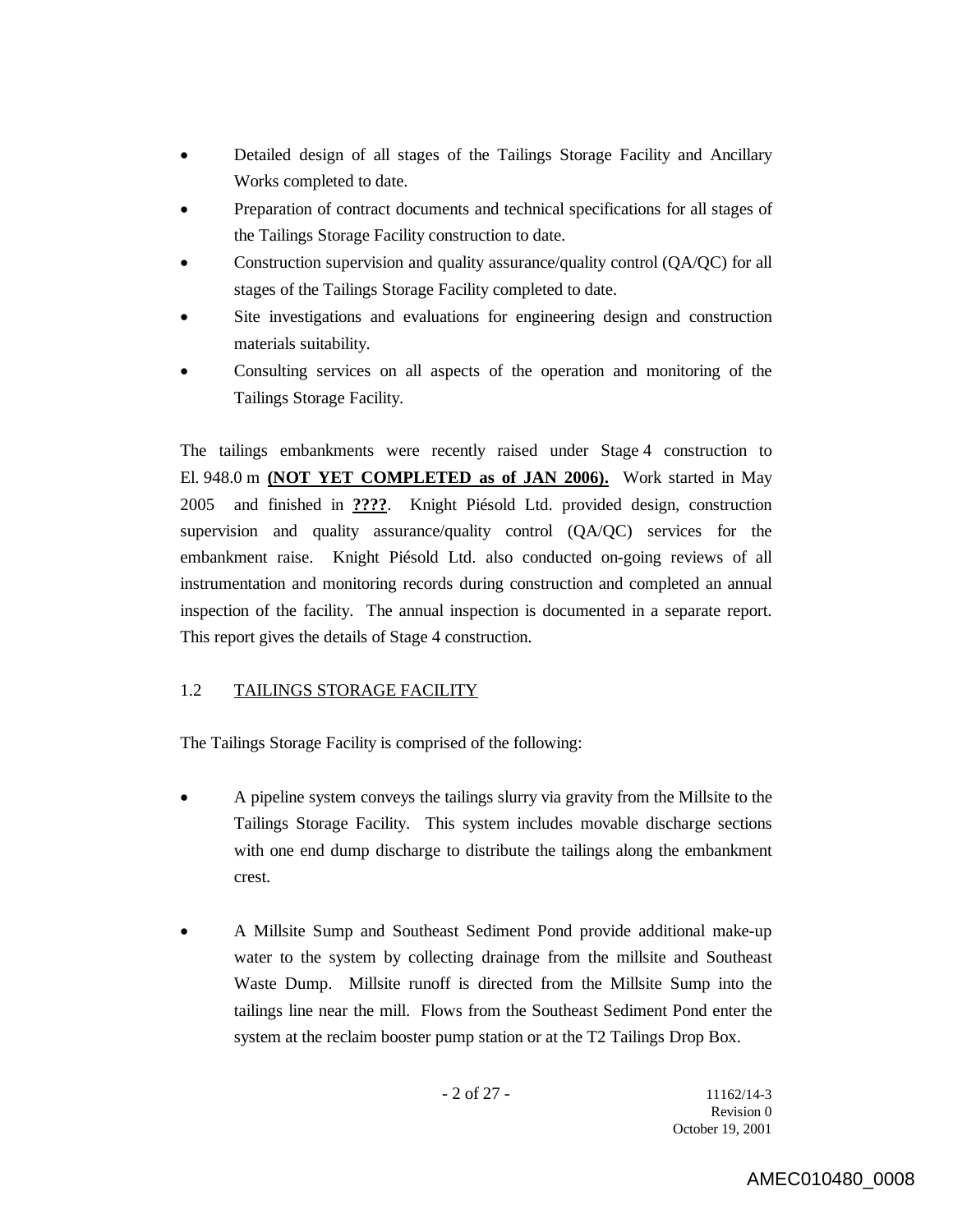- Detailed design of all stages of the Tailings Storage Facility and Ancillary Works completed to date.
- Preparation of contract documents and technical specifications for all stages of the Tailings Storage Facility construction to date.
- Construction supervision and quality assurance/quality control (QA/QC) for all stages of the Tailings Storage Facility completed to date.
- Site investigations and evaluations for engineering design and construction materials suitability.
- Consulting services on all aspects of the operation and monitoring of the Tailings Storage Facility.

The tailings embankments were recently raised under Stage 4 construction to El. 948.0 m **(NOT YET COMPLETED as of JAN 2006).** Work started in May 2005 and finished in **????**. Knight Piésold Ltd. provided design, construction supervision and quality assurance/quality control (QA/QC) services for the embankment raise. Knight Piésold Ltd. also conducted on-going reviews of all instrumentation and monitoring records during construction and completed an annual inspection of the facility. The annual inspection is documented in a separate report. This report gives the details of Stage 4 construction.

## 1.2 TAILINGS STORAGE FACILITY

The Tailings Storage Facility is comprised of the following:

- A pipeline system conveys the tailings slurry via gravity from the Millsite to the Tailings Storage Facility. This system includes movable discharge sections with one end dump discharge to distribute the tailings along the embankment crest.
- A Millsite Sump and Southeast Sediment Pond provide additional make-up water to the system by collecting drainage from the millsite and Southeast Waste Dump. Millsite runoff is directed from the Millsite Sump into the tailings line near the mill. Flows from the Southeast Sediment Pond enter the system at the reclaim booster pump station or at the T2 Tailings Drop Box.

- 2 of 27 - 11162/14-3 Revision 0 October 19, 2001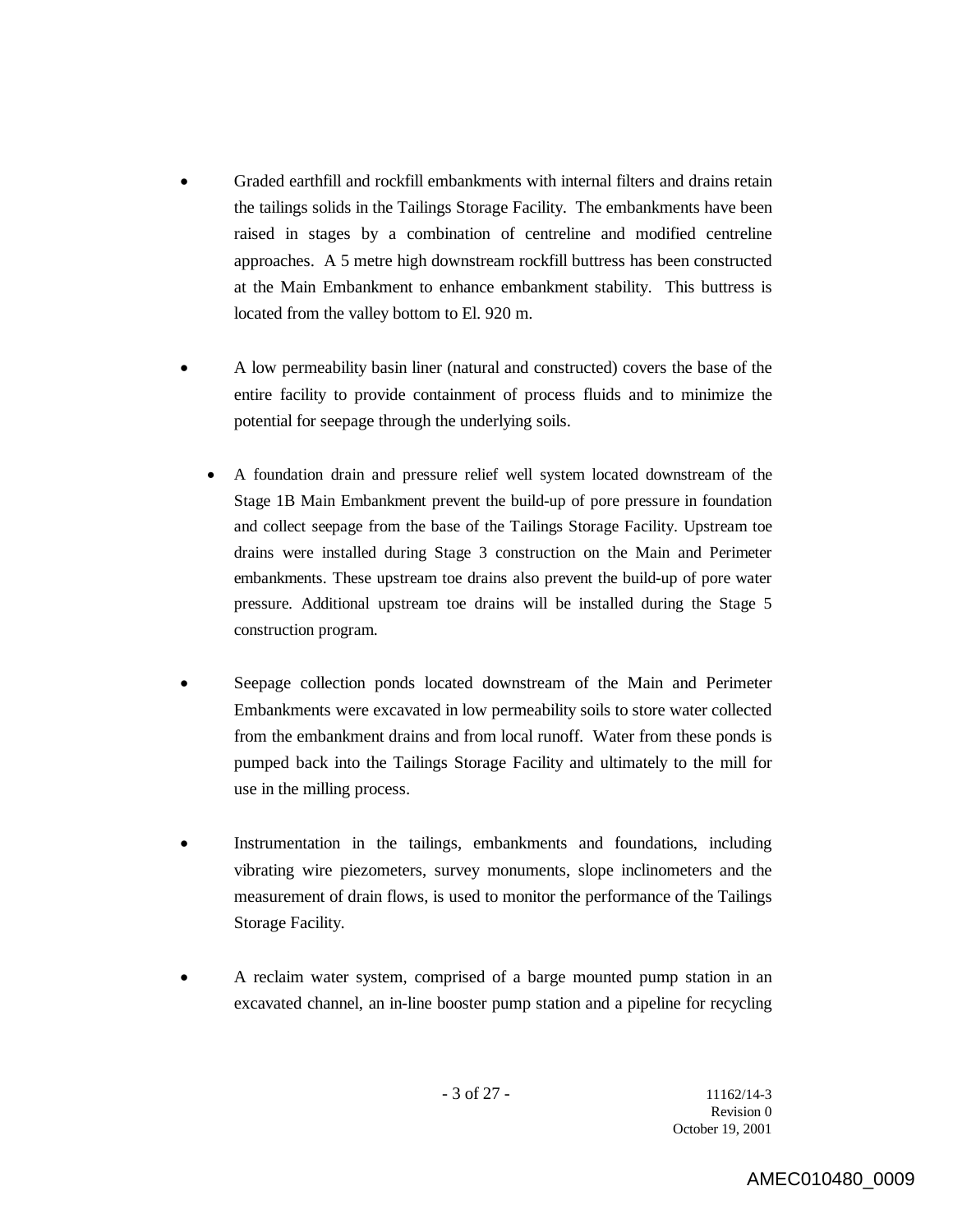- Graded earthfill and rockfill embankments with internal filters and drains retain the tailings solids in the Tailings Storage Facility. The embankments have been raised in stages by a combination of centreline and modified centreline approaches. A 5 metre high downstream rockfill buttress has been constructed at the Main Embankment to enhance embankment stability. This buttress is located from the valley bottom to El. 920 m.
- A low permeability basin liner (natural and constructed) covers the base of the entire facility to provide containment of process fluids and to minimize the potential for seepage through the underlying soils.
	- A foundation drain and pressure relief well system located downstream of the Stage 1B Main Embankment prevent the build-up of pore pressure in foundation and collect seepage from the base of the Tailings Storage Facility. Upstream toe drains were installed during Stage 3 construction on the Main and Perimeter embankments. These upstream toe drains also prevent the build-up of pore water pressure. Additional upstream toe drains will be installed during the Stage 5 construction program.
- Seepage collection ponds located downstream of the Main and Perimeter Embankments were excavated in low permeability soils to store water collected from the embankment drains and from local runoff. Water from these ponds is pumped back into the Tailings Storage Facility and ultimately to the mill for use in the milling process.
- Instrumentation in the tailings, embankments and foundations, including vibrating wire piezometers, survey monuments, slope inclinometers and the measurement of drain flows, is used to monitor the performance of the Tailings Storage Facility.
- A reclaim water system, comprised of a barge mounted pump station in an excavated channel, an in-line booster pump station and a pipeline for recycling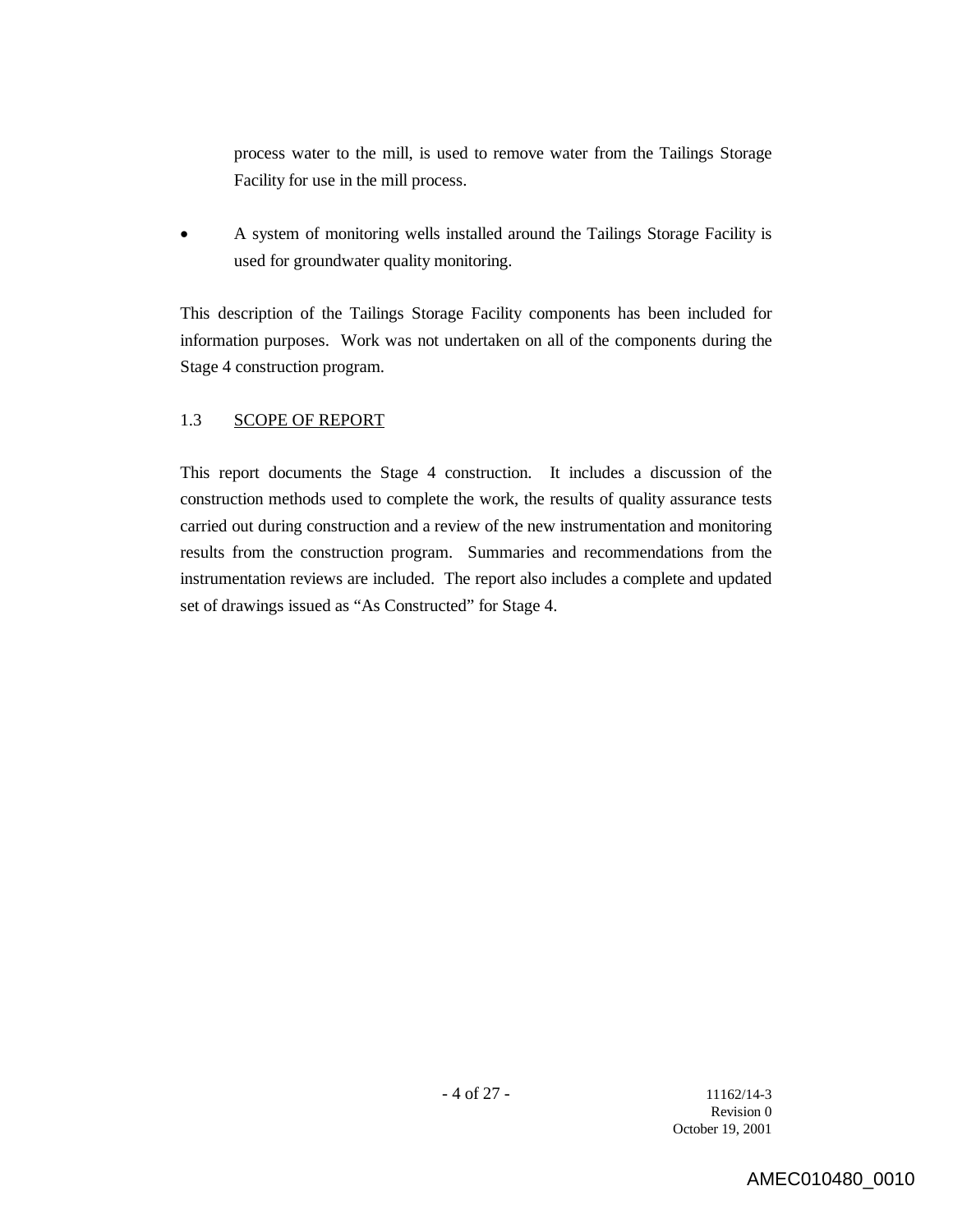process water to the mill, is used to remove water from the Tailings Storage Facility for use in the mill process.

 A system of monitoring wells installed around the Tailings Storage Facility is used for groundwater quality monitoring.

This description of the Tailings Storage Facility components has been included for information purposes. Work was not undertaken on all of the components during the Stage 4 construction program.

## 1.3 SCOPE OF REPORT

This report documents the Stage 4 construction. It includes a discussion of the construction methods used to complete the work, the results of quality assurance tests carried out during construction and a review of the new instrumentation and monitoring results from the construction program. Summaries and recommendations from the instrumentation reviews are included. The report also includes a complete and updated set of drawings issued as "As Constructed" for Stage 4.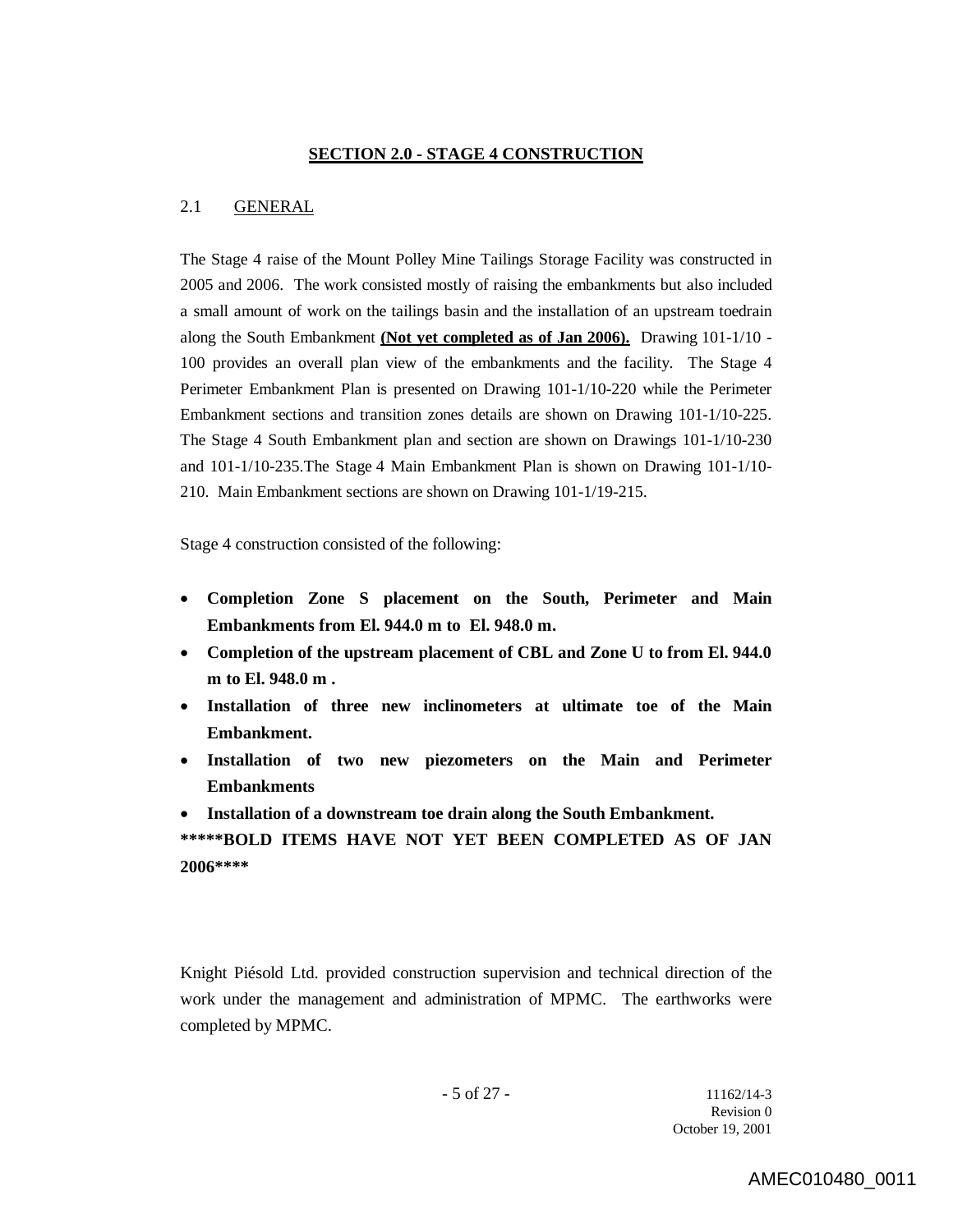#### **SECTION 2.0 - STAGE 4 CONSTRUCTION**

### 2.1 GENERAL

The Stage 4 raise of the Mount Polley Mine Tailings Storage Facility was constructed in 2005 and 2006. The work consisted mostly of raising the embankments but also included a small amount of work on the tailings basin and the installation of an upstream toedrain along the South Embankment **(Not yet completed as of Jan 2006).** Drawing 101-1/10 - 100 provides an overall plan view of the embankments and the facility. The Stage 4 Perimeter Embankment Plan is presented on Drawing 101-1/10-220 while the Perimeter Embankment sections and transition zones details are shown on Drawing 101-1/10-225. The Stage 4 South Embankment plan and section are shown on Drawings 101-1/10-230 and 101-1/10-235.The Stage 4 Main Embankment Plan is shown on Drawing 101-1/10- 210. Main Embankment sections are shown on Drawing 101-1/19-215.

Stage 4 construction consisted of the following:

- **Completion Zone S placement on the South, Perimeter and Main Embankments from El. 944.0 m to El. 948.0 m.**
- **Completion of the upstream placement of CBL and Zone U to from El. 944.0 m to El. 948.0 m .**
- **Installation of three new inclinometers at ultimate toe of the Main Embankment.**
- **Installation of two new piezometers on the Main and Perimeter Embankments**
- **Installation of a downstream toe drain along the South Embankment.**

**\*\*\*\*\*BOLD ITEMS HAVE NOT YET BEEN COMPLETED AS OF JAN 2006\*\*\*\***

Knight Piésold Ltd. provided construction supervision and technical direction of the work under the management and administration of MPMC. The earthworks were completed by MPMC.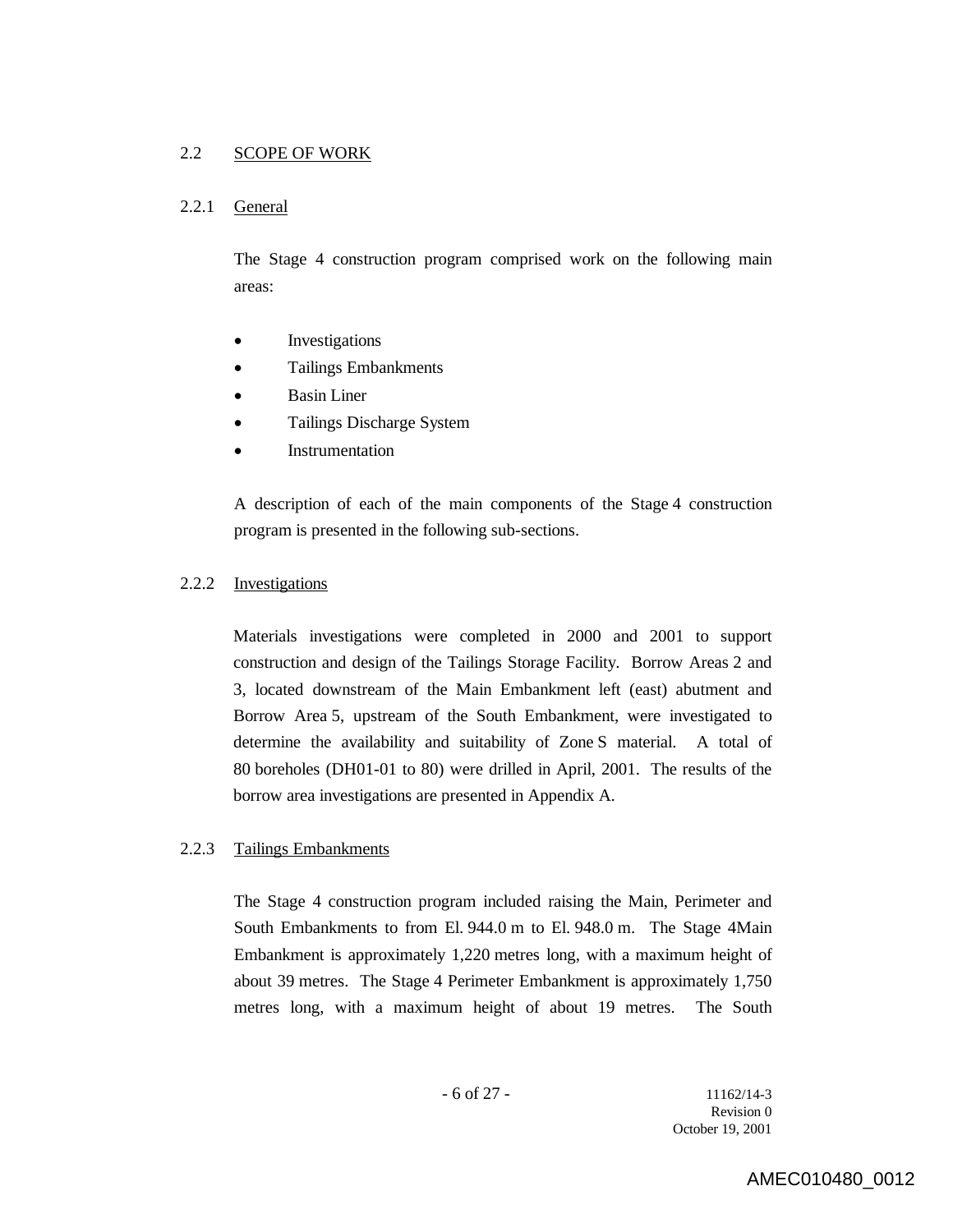## 2.2 SCOPE OF WORK

### 2.2.1 General

The Stage 4 construction program comprised work on the following main areas:

- Investigations
- Tailings Embankments
- Basin Liner
- Tailings Discharge System
- Instrumentation

A description of each of the main components of the Stage 4 construction program is presented in the following sub-sections.

#### 2.2.2 Investigations

Materials investigations were completed in 2000 and 2001 to support construction and design of the Tailings Storage Facility. Borrow Areas 2 and 3, located downstream of the Main Embankment left (east) abutment and Borrow Area 5, upstream of the South Embankment, were investigated to determine the availability and suitability of Zone S material. A total of 80 boreholes (DH01-01 to 80) were drilled in April, 2001. The results of the borrow area investigations are presented in Appendix A.

### 2.2.3 Tailings Embankments

The Stage 4 construction program included raising the Main, Perimeter and South Embankments to from El. 944.0 m to El. 948.0 m. The Stage 4Main Embankment is approximately 1,220 metres long, with a maximum height of about 39 metres. The Stage 4 Perimeter Embankment is approximately 1,750 metres long, with a maximum height of about 19 metres. The South

- 6 of 27 - 11162/14-3 Revision 0 October 19, 2001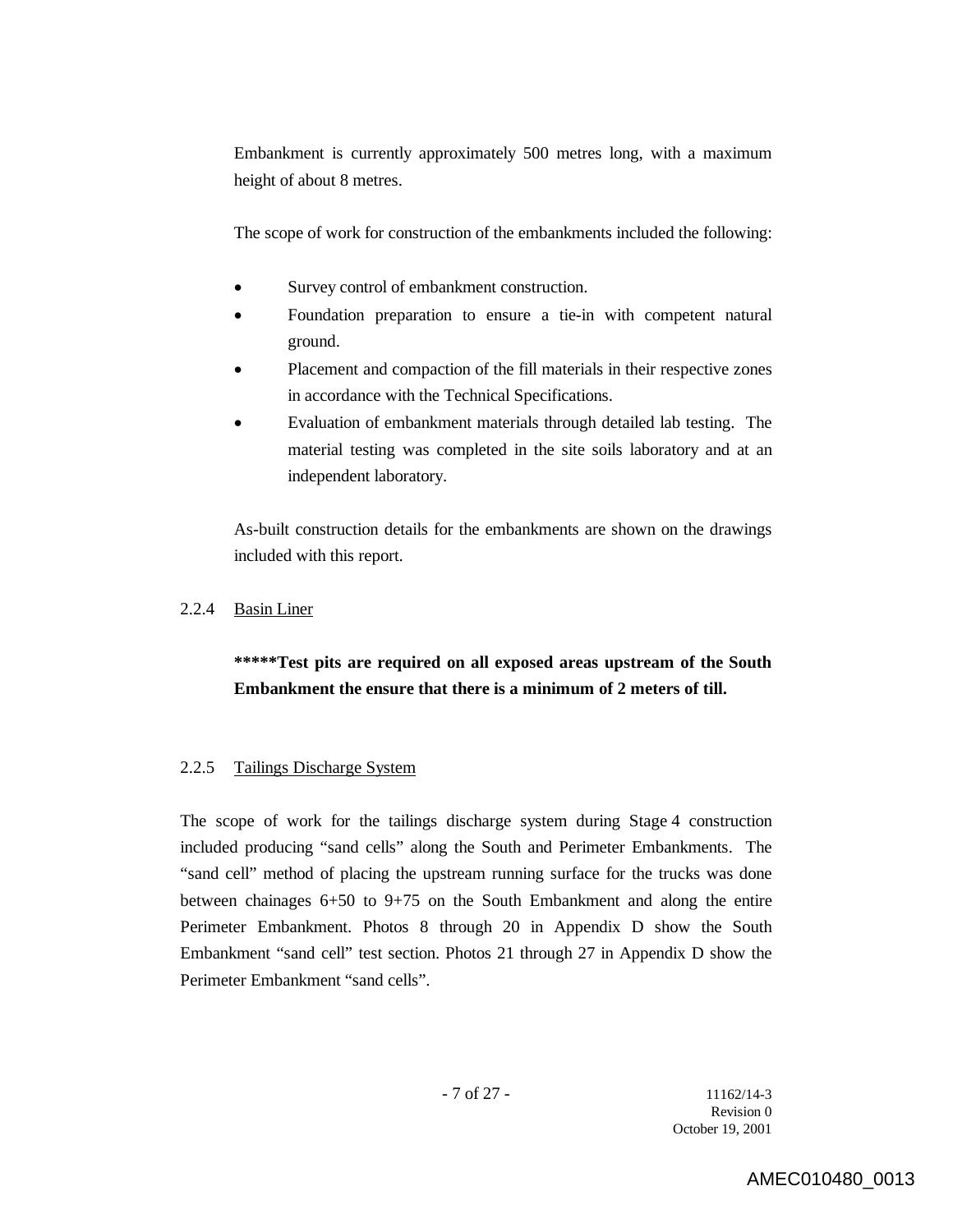Embankment is currently approximately 500 metres long, with a maximum height of about 8 metres.

The scope of work for construction of the embankments included the following:

- Survey control of embankment construction.
- Foundation preparation to ensure a tie-in with competent natural ground.
- Placement and compaction of the fill materials in their respective zones in accordance with the Technical Specifications.
- Evaluation of embankment materials through detailed lab testing. The material testing was completed in the site soils laboratory and at an independent laboratory.

As-built construction details for the embankments are shown on the drawings included with this report.

## 2.2.4 Basin Liner

## **\*\*\*\*\*Test pits are required on all exposed areas upstream of the South Embankment the ensure that there is a minimum of 2 meters of till.**

## 2.2.5 Tailings Discharge System

The scope of work for the tailings discharge system during Stage 4 construction included producing "sand cells" along the South and Perimeter Embankments. The "sand cell" method of placing the upstream running surface for the trucks was done between chainages 6+50 to 9+75 on the South Embankment and along the entire Perimeter Embankment. Photos 8 through 20 in Appendix D show the South Embankment "sand cell" test section. Photos 21 through 27 in Appendix D show the Perimeter Embankment "sand cells".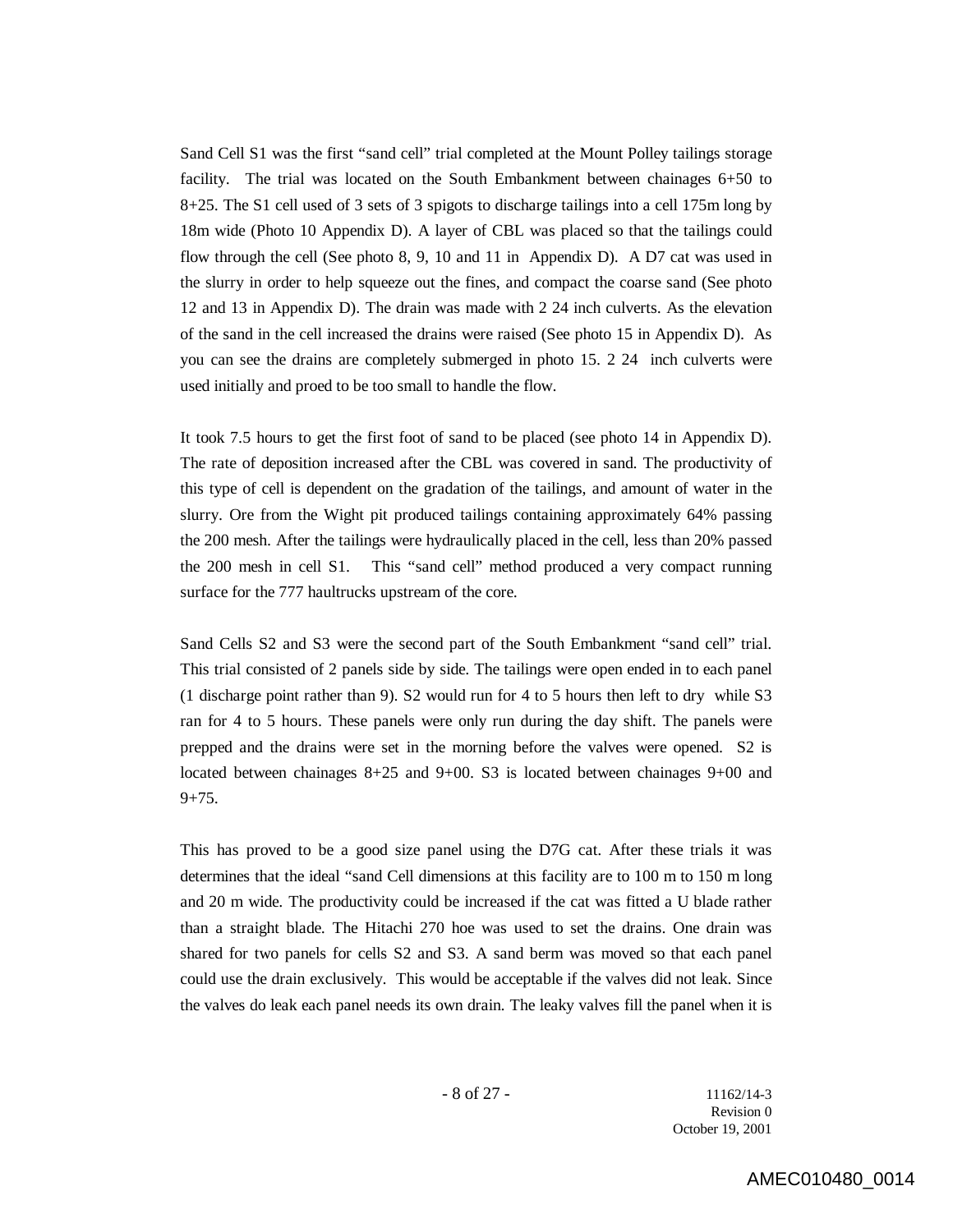Sand Cell S1 was the first "sand cell" trial completed at the Mount Polley tailings storage facility. The trial was located on the South Embankment between chainages 6+50 to 8+25. The S1 cell used of 3 sets of 3 spigots to discharge tailings into a cell 175m long by 18m wide (Photo 10 Appendix D). A layer of CBL was placed so that the tailings could flow through the cell (See photo 8, 9, 10 and 11 in Appendix D). A D7 cat was used in the slurry in order to help squeeze out the fines, and compact the coarse sand (See photo 12 and 13 in Appendix D). The drain was made with 2 24 inch culverts. As the elevation of the sand in the cell increased the drains were raised (See photo 15 in Appendix D). As you can see the drains are completely submerged in photo 15. 2 24 inch culverts were used initially and proed to be too small to handle the flow.

It took 7.5 hours to get the first foot of sand to be placed (see photo 14 in Appendix D). The rate of deposition increased after the CBL was covered in sand. The productivity of this type of cell is dependent on the gradation of the tailings, and amount of water in the slurry. Ore from the Wight pit produced tailings containing approximately 64% passing the 200 mesh. After the tailings were hydraulically placed in the cell, less than 20% passed the 200 mesh in cell S1. This "sand cell" method produced a very compact running surface for the 777 haultrucks upstream of the core.

Sand Cells S2 and S3 were the second part of the South Embankment "sand cell" trial. This trial consisted of 2 panels side by side. The tailings were open ended in to each panel (1 discharge point rather than 9). S2 would run for 4 to 5 hours then left to dry while S3 ran for 4 to 5 hours. These panels were only run during the day shift. The panels were prepped and the drains were set in the morning before the valves were opened. S2 is located between chainages 8+25 and 9+00. S3 is located between chainages 9+00 and  $9+75.$ 

This has proved to be a good size panel using the D7G cat. After these trials it was determines that the ideal "sand Cell dimensions at this facility are to 100 m to 150 m long and 20 m wide. The productivity could be increased if the cat was fitted a U blade rather than a straight blade. The Hitachi 270 hoe was used to set the drains. One drain was shared for two panels for cells S2 and S3. A sand berm was moved so that each panel could use the drain exclusively. This would be acceptable if the valves did not leak. Since the valves do leak each panel needs its own drain. The leaky valves fill the panel when it is

 $- 8$  of 27 - 11162/14-3 Revision 0 October 19, 2001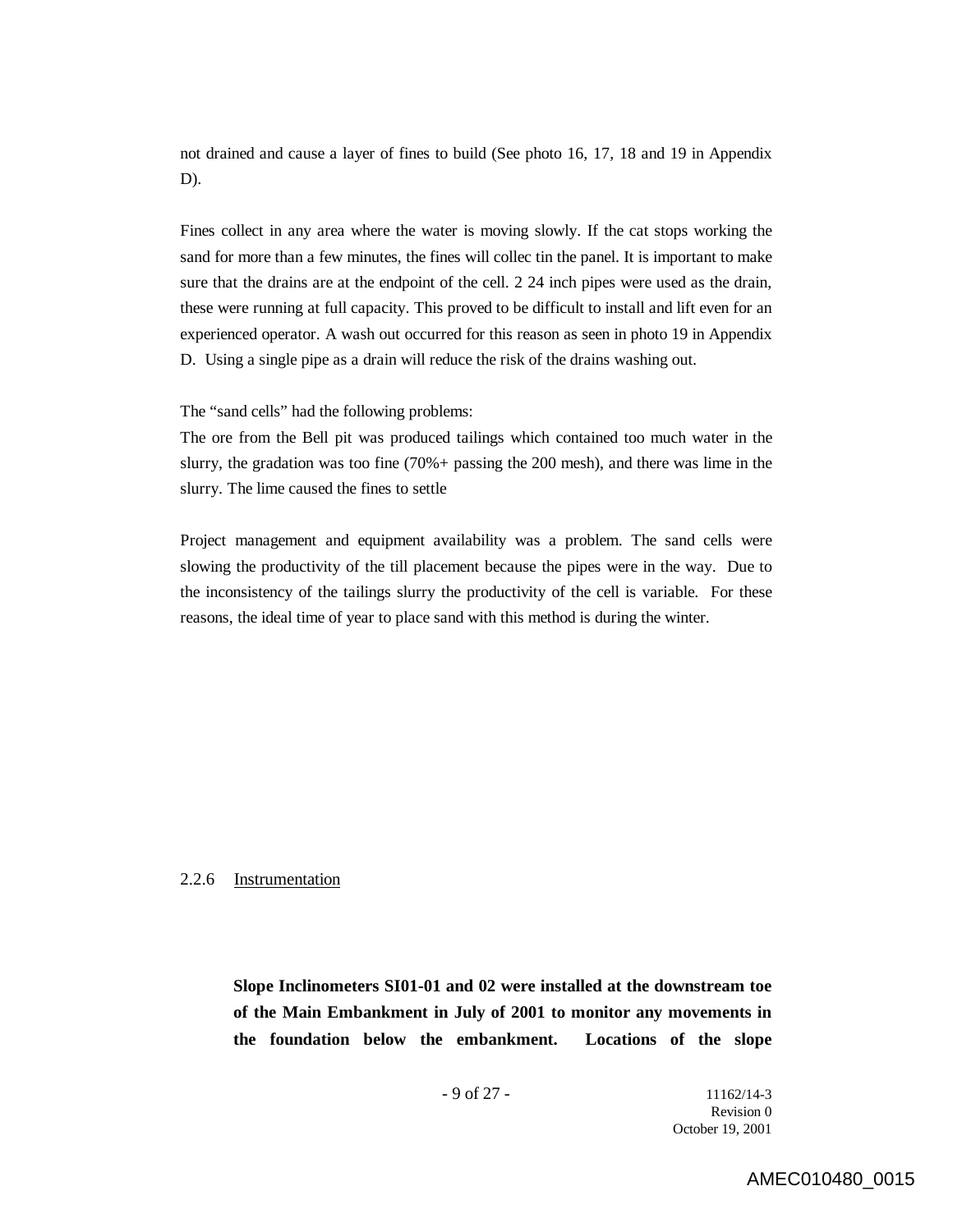not drained and cause a layer of fines to build (See photo 16, 17, 18 and 19 in Appendix D).

Fines collect in any area where the water is moving slowly. If the cat stops working the sand for more than a few minutes, the fines will collec tin the panel. It is important to make sure that the drains are at the endpoint of the cell. 2 24 inch pipes were used as the drain, these were running at full capacity. This proved to be difficult to install and lift even for an experienced operator. A wash out occurred for this reason as seen in photo 19 in Appendix D. Using a single pipe as a drain will reduce the risk of the drains washing out.

The "sand cells" had the following problems:

The ore from the Bell pit was produced tailings which contained too much water in the slurry, the gradation was too fine (70%+ passing the 200 mesh), and there was lime in the slurry. The lime caused the fines to settle

Project management and equipment availability was a problem. The sand cells were slowing the productivity of the till placement because the pipes were in the way. Due to the inconsistency of the tailings slurry the productivity of the cell is variable. For these reasons, the ideal time of year to place sand with this method is during the winter.

#### 2.2.6 Instrumentation

**Slope Inclinometers SI01-01 and 02 were installed at the downstream toe of the Main Embankment in July of 2001 to monitor any movements in the foundation below the embankment. Locations of the slope** 

- 9 of 27 - 11162/14-3 Revision 0 October 19, 2001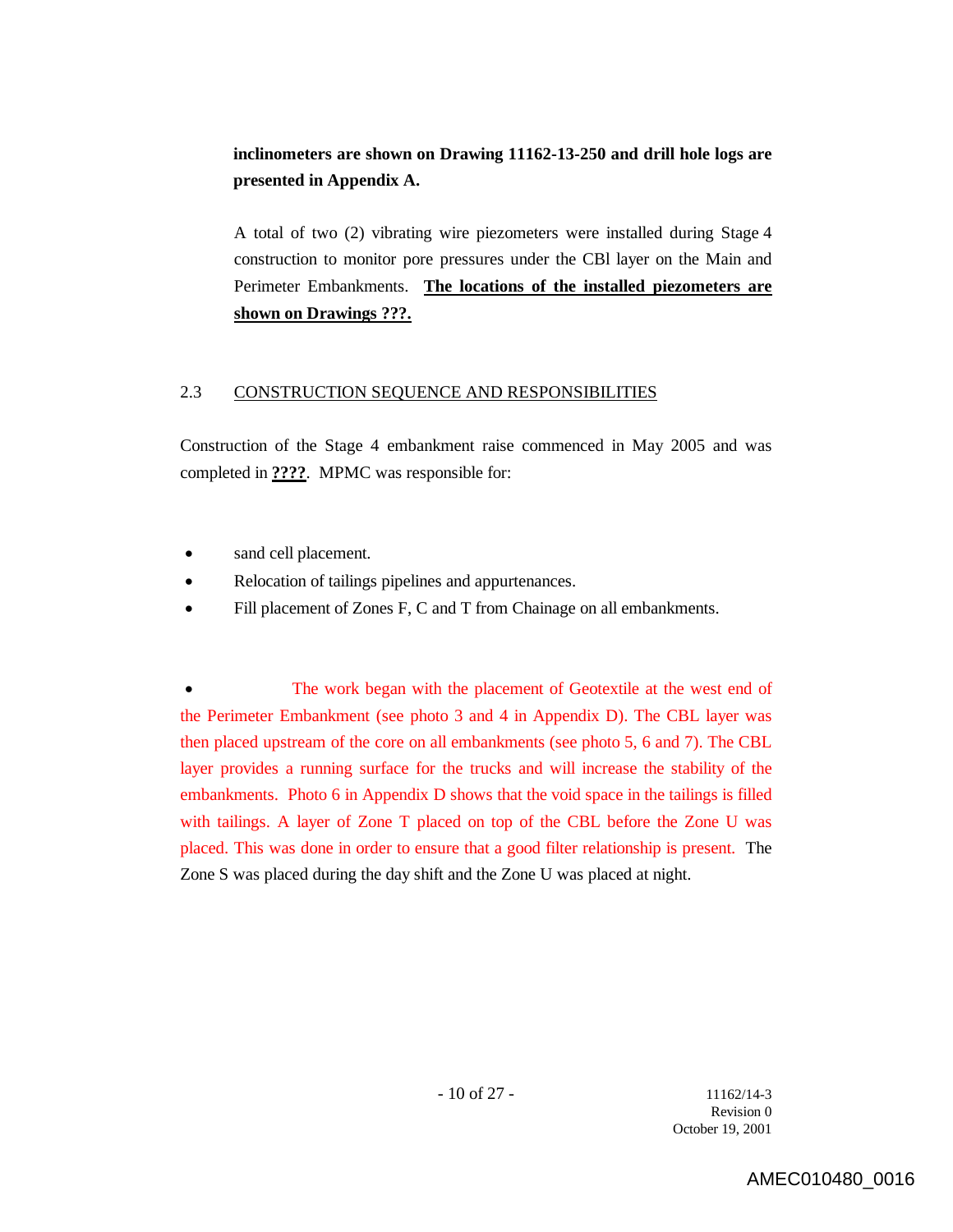## **inclinometers are shown on Drawing 11162-13-250 and drill hole logs are presented in Appendix A.**

A total of two (2) vibrating wire piezometers were installed during Stage 4 construction to monitor pore pressures under the CBl layer on the Main and Perimeter Embankments. **The locations of the installed piezometers are shown on Drawings ???.**

## 2.3 CONSTRUCTION SEQUENCE AND RESPONSIBILITIES

Construction of the Stage 4 embankment raise commenced in May 2005 and was completed in **????**. MPMC was responsible for:

- sand cell placement.
- Relocation of tailings pipelines and appurtenances.
- Fill placement of Zones F, C and T from Chainage on all embankments.

 The work began with the placement of Geotextile at the west end of the Perimeter Embankment (see photo 3 and 4 in Appendix D). The CBL layer was then placed upstream of the core on all embankments (see photo 5, 6 and 7). The CBL layer provides a running surface for the trucks and will increase the stability of the embankments. Photo 6 in Appendix D shows that the void space in the tailings is filled with tailings. A layer of Zone T placed on top of the CBL before the Zone U was placed. This was done in order to ensure that a good filter relationship is present. The Zone S was placed during the day shift and the Zone U was placed at night.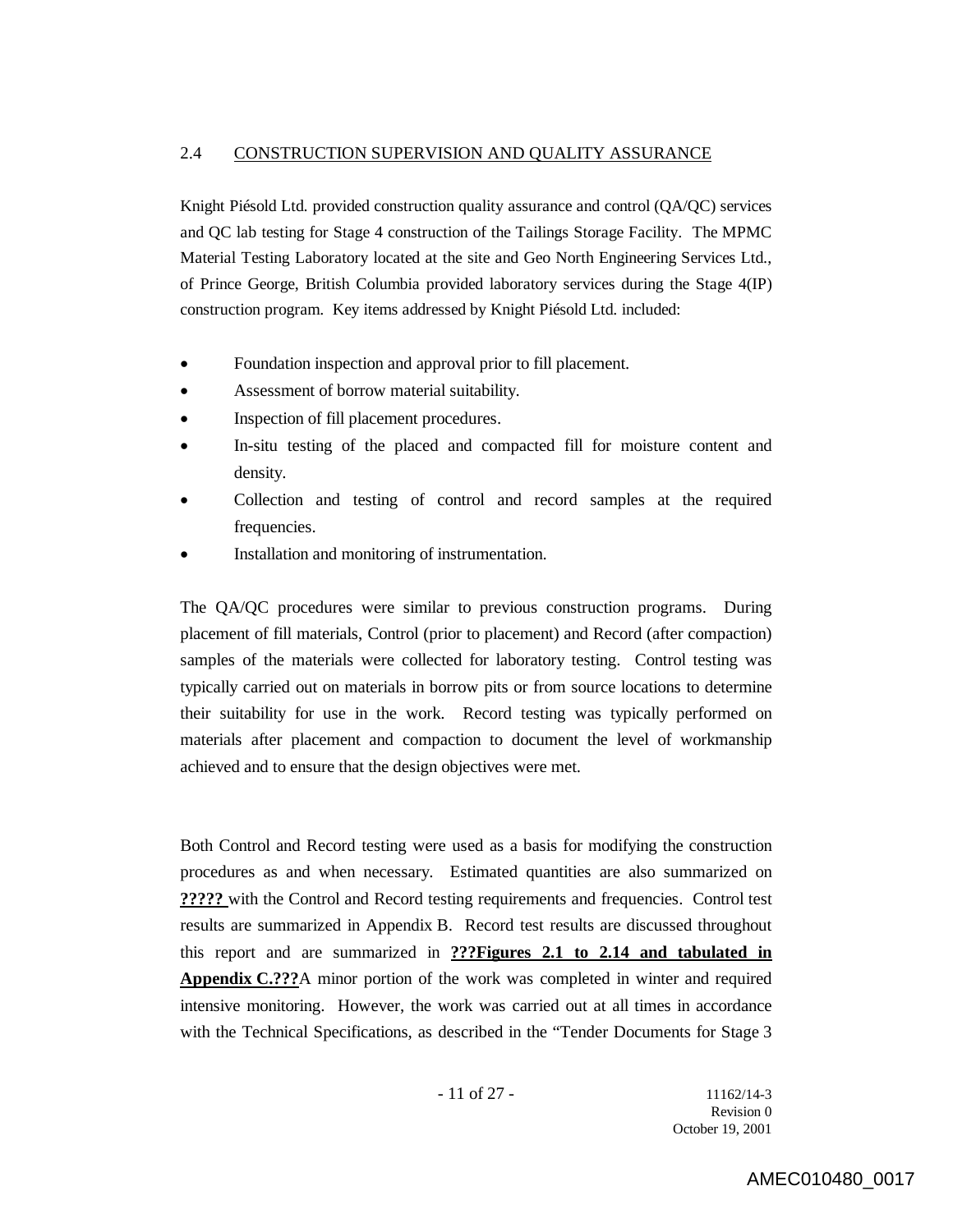### 2.4 CONSTRUCTION SUPERVISION AND QUALITY ASSURANCE

Knight Piésold Ltd. provided construction quality assurance and control (QA/QC) services and QC lab testing for Stage 4 construction of the Tailings Storage Facility. The MPMC Material Testing Laboratory located at the site and Geo North Engineering Services Ltd., of Prince George, British Columbia provided laboratory services during the Stage 4(IP) construction program. Key items addressed by Knight Piésold Ltd. included:

- Foundation inspection and approval prior to fill placement.
- Assessment of borrow material suitability.
- Inspection of fill placement procedures.
- In-situ testing of the placed and compacted fill for moisture content and density.
- Collection and testing of control and record samples at the required frequencies.
- Installation and monitoring of instrumentation.

The QA/QC procedures were similar to previous construction programs. During placement of fill materials, Control (prior to placement) and Record (after compaction) samples of the materials were collected for laboratory testing. Control testing was typically carried out on materials in borrow pits or from source locations to determine their suitability for use in the work. Record testing was typically performed on materials after placement and compaction to document the level of workmanship achieved and to ensure that the design objectives were met.

Both Control and Record testing were used as a basis for modifying the construction procedures as and when necessary. Estimated quantities are also summarized on **?????** with the Control and Record testing requirements and frequencies. Control test results are summarized in Appendix B. Record test results are discussed throughout this report and are summarized in **???Figures 2.1 to 2.14 and tabulated in Appendix C.???**A minor portion of the work was completed in winter and required intensive monitoring. However, the work was carried out at all times in accordance with the Technical Specifications, as described in the "Tender Documents for Stage 3

- 11 of 27 - 11162/14-3 Revision 0 October 19, 2001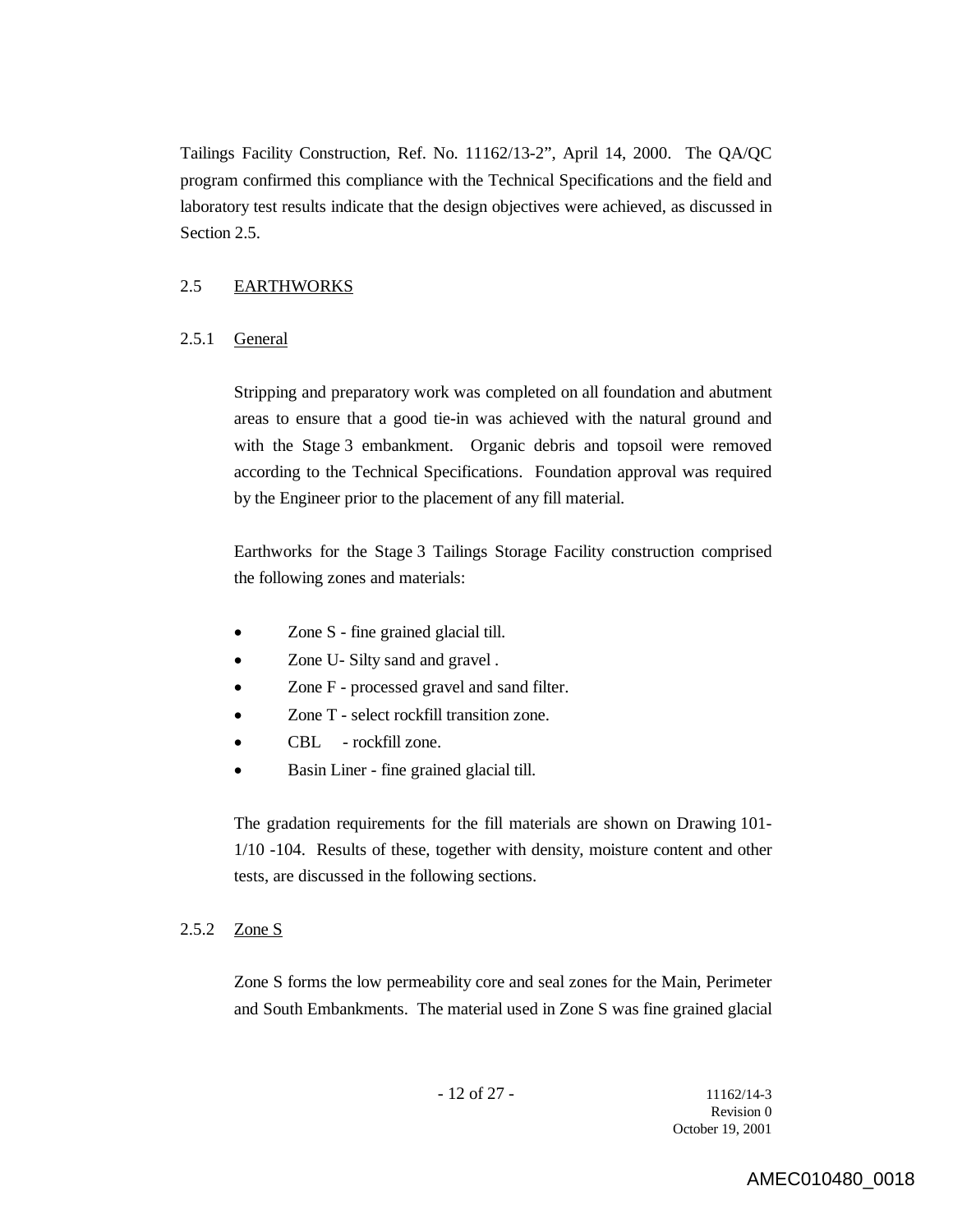Tailings Facility Construction, Ref. No. 11162/13-2", April 14, 2000. The QA/QC program confirmed this compliance with the Technical Specifications and the field and laboratory test results indicate that the design objectives were achieved, as discussed in Section 2.5.

## 2.5 EARTHWORKS

#### 2.5.1 General

Stripping and preparatory work was completed on all foundation and abutment areas to ensure that a good tie-in was achieved with the natural ground and with the Stage 3 embankment. Organic debris and topsoil were removed according to the Technical Specifications. Foundation approval was required by the Engineer prior to the placement of any fill material.

Earthworks for the Stage 3 Tailings Storage Facility construction comprised the following zones and materials:

- Zone S fine grained glacial till.
- Zone U- Silty sand and gravel .
- Zone F processed gravel and sand filter.
- Zone T select rockfill transition zone.
- CBL rockfill zone.
- Basin Liner fine grained glacial till.

The gradation requirements for the fill materials are shown on Drawing 101- 1/10 -104. Results of these, together with density, moisture content and other tests, are discussed in the following sections.

#### 2.5.2 Zone S

Zone S forms the low permeability core and seal zones for the Main, Perimeter and South Embankments. The material used in Zone S was fine grained glacial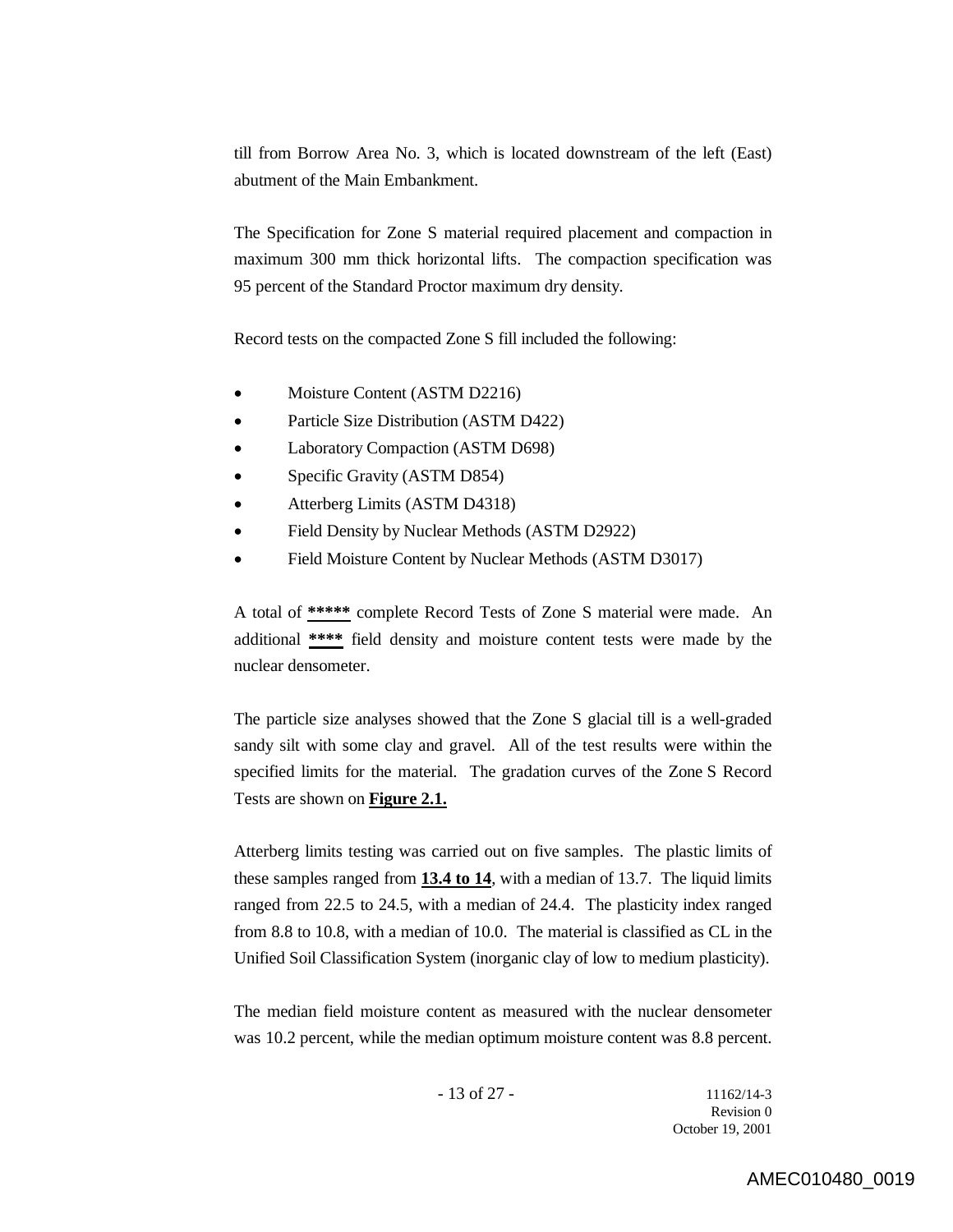till from Borrow Area No. 3, which is located downstream of the left (East) abutment of the Main Embankment.

The Specification for Zone S material required placement and compaction in maximum 300 mm thick horizontal lifts. The compaction specification was 95 percent of the Standard Proctor maximum dry density.

Record tests on the compacted Zone S fill included the following:

- Moisture Content (ASTM D2216)
- Particle Size Distribution (ASTM D422)
- Laboratory Compaction (ASTM D698)
- Specific Gravity (ASTM D854)
- Atterberg Limits (ASTM D4318)
- Field Density by Nuclear Methods (ASTM D2922)
- Field Moisture Content by Nuclear Methods (ASTM D3017)

A total of **\*\*\*\*\*** complete Record Tests of Zone S material were made. An additional **\*\*\*\*** field density and moisture content tests were made by the nuclear densometer.

The particle size analyses showed that the Zone S glacial till is a well-graded sandy silt with some clay and gravel. All of the test results were within the specified limits for the material. The gradation curves of the Zone S Record Tests are shown on **Figure 2.1.**

Atterberg limits testing was carried out on five samples. The plastic limits of these samples ranged from **13.4 to 14**, with a median of 13.7. The liquid limits ranged from 22.5 to 24.5, with a median of 24.4. The plasticity index ranged from 8.8 to 10.8, with a median of 10.0. The material is classified as CL in the Unified Soil Classification System (inorganic clay of low to medium plasticity).

The median field moisture content as measured with the nuclear densometer was 10.2 percent, while the median optimum moisture content was 8.8 percent.

- 13 of 27 - 11162/14-3 Revision 0 October 19, 2001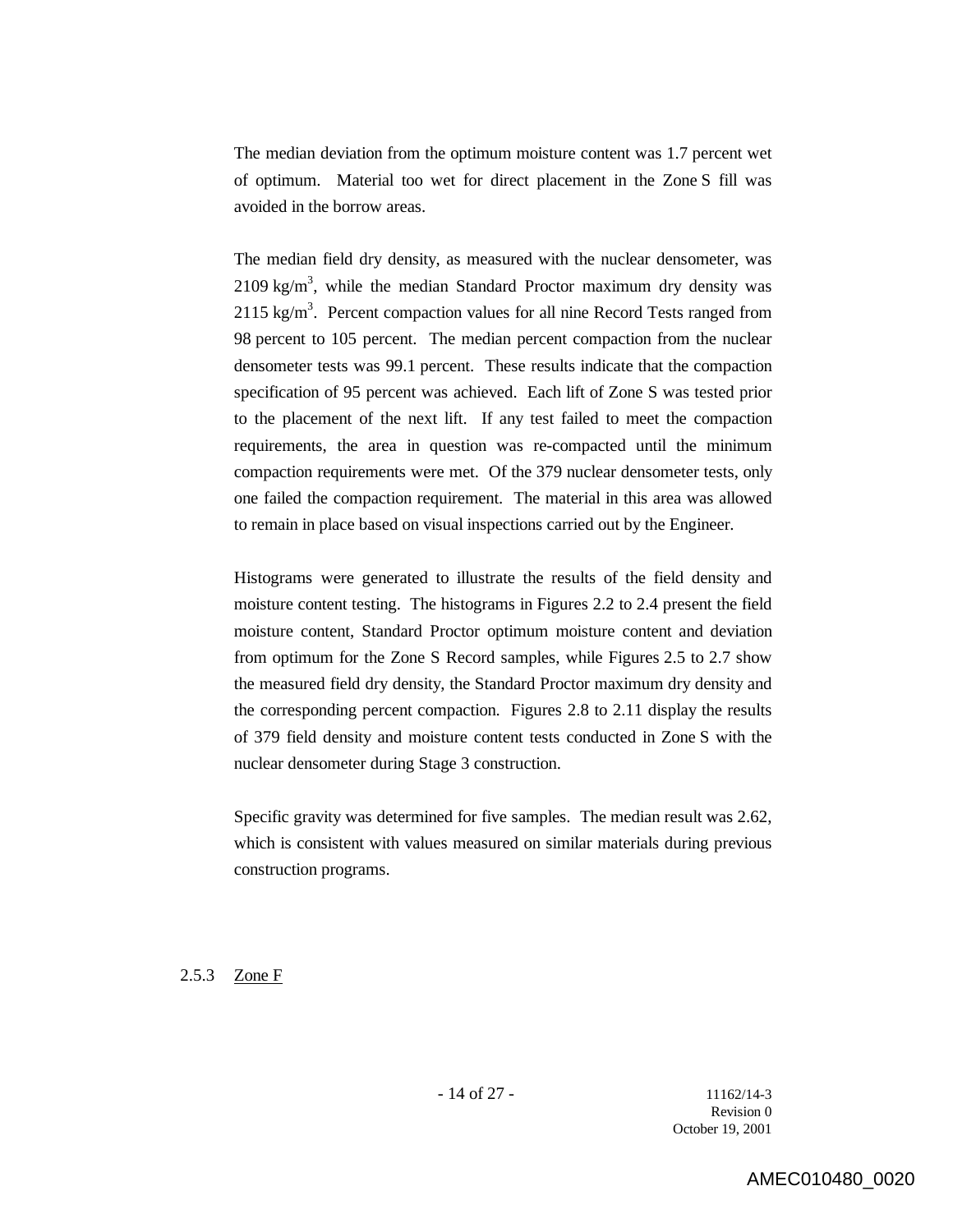The median deviation from the optimum moisture content was 1.7 percent wet of optimum. Material too wet for direct placement in the Zone S fill was avoided in the borrow areas.

The median field dry density, as measured with the nuclear densometer, was  $2109 \text{ kg/m}^3$ , while the median Standard Proctor maximum dry density was 2115 kg/m<sup>3</sup>. Percent compaction values for all nine Record Tests ranged from 98 percent to 105 percent. The median percent compaction from the nuclear densometer tests was 99.1 percent. These results indicate that the compaction specification of 95 percent was achieved. Each lift of Zone S was tested prior to the placement of the next lift. If any test failed to meet the compaction requirements, the area in question was re-compacted until the minimum compaction requirements were met. Of the 379 nuclear densometer tests, only one failed the compaction requirement. The material in this area was allowed to remain in place based on visual inspections carried out by the Engineer.

Histograms were generated to illustrate the results of the field density and moisture content testing. The histograms in Figures 2.2 to 2.4 present the field moisture content, Standard Proctor optimum moisture content and deviation from optimum for the Zone S Record samples, while Figures 2.5 to 2.7 show the measured field dry density, the Standard Proctor maximum dry density and the corresponding percent compaction. Figures 2.8 to 2.11 display the results of 379 field density and moisture content tests conducted in Zone S with the nuclear densometer during Stage 3 construction.

Specific gravity was determined for five samples. The median result was 2.62, which is consistent with values measured on similar materials during previous construction programs.

#### 2.5.3 Zone F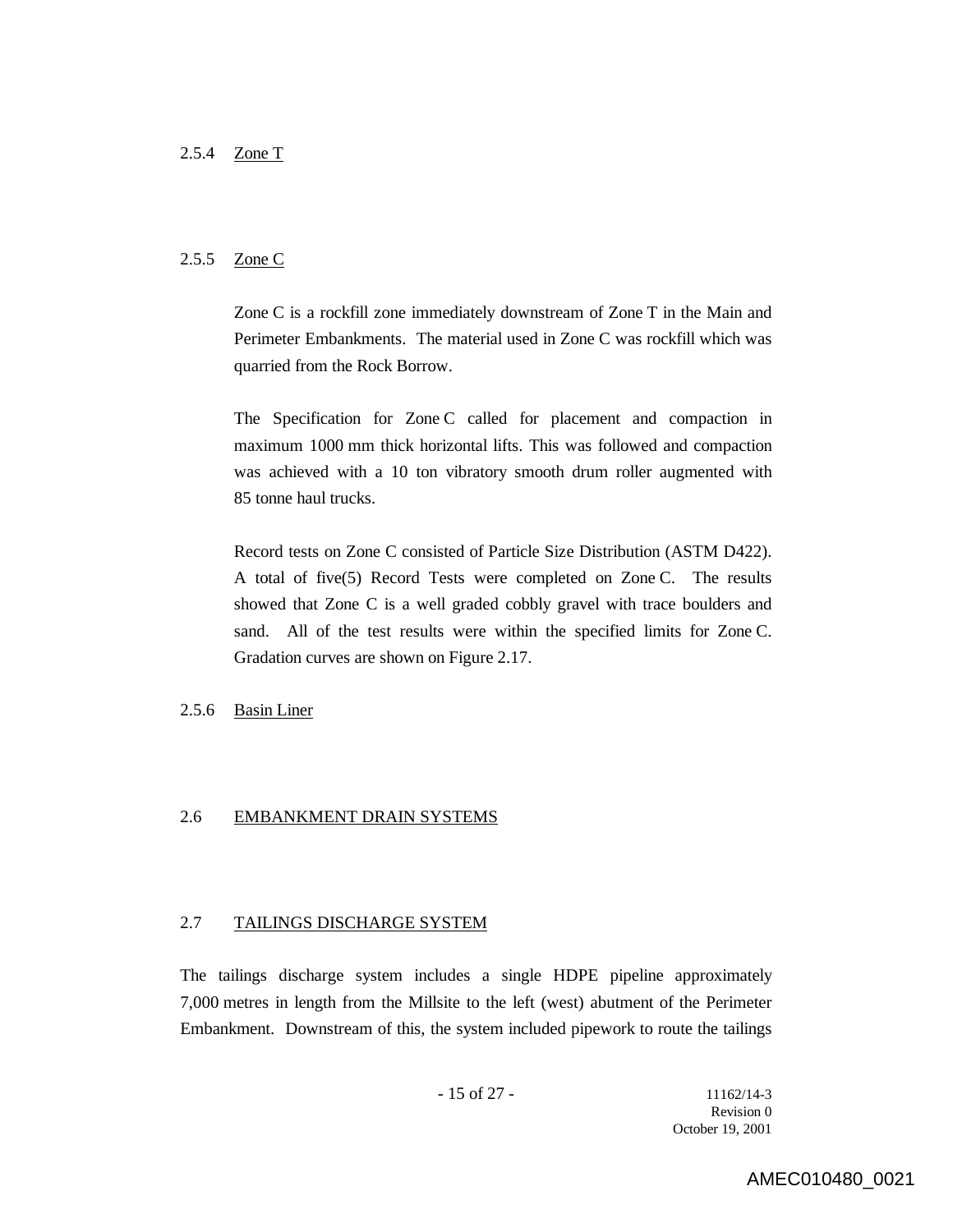### 2.5.5 Zone C

Zone C is a rockfill zone immediately downstream of Zone T in the Main and Perimeter Embankments. The material used in Zone C was rockfill which was quarried from the Rock Borrow.

The Specification for Zone C called for placement and compaction in maximum 1000 mm thick horizontal lifts. This was followed and compaction was achieved with a 10 ton vibratory smooth drum roller augmented with 85 tonne haul trucks.

Record tests on Zone C consisted of Particle Size Distribution (ASTM D422). A total of five(5) Record Tests were completed on Zone C. The results showed that Zone C is a well graded cobbly gravel with trace boulders and sand. All of the test results were within the specified limits for Zone C. Gradation curves are shown on Figure 2.17.

#### 2.5.6 Basin Liner

### 2.6 EMBANKMENT DRAIN SYSTEMS

### 2.7 TAILINGS DISCHARGE SYSTEM

The tailings discharge system includes a single HDPE pipeline approximately 7,000 metres in length from the Millsite to the left (west) abutment of the Perimeter Embankment. Downstream of this, the system included pipework to route the tailings

Revision 0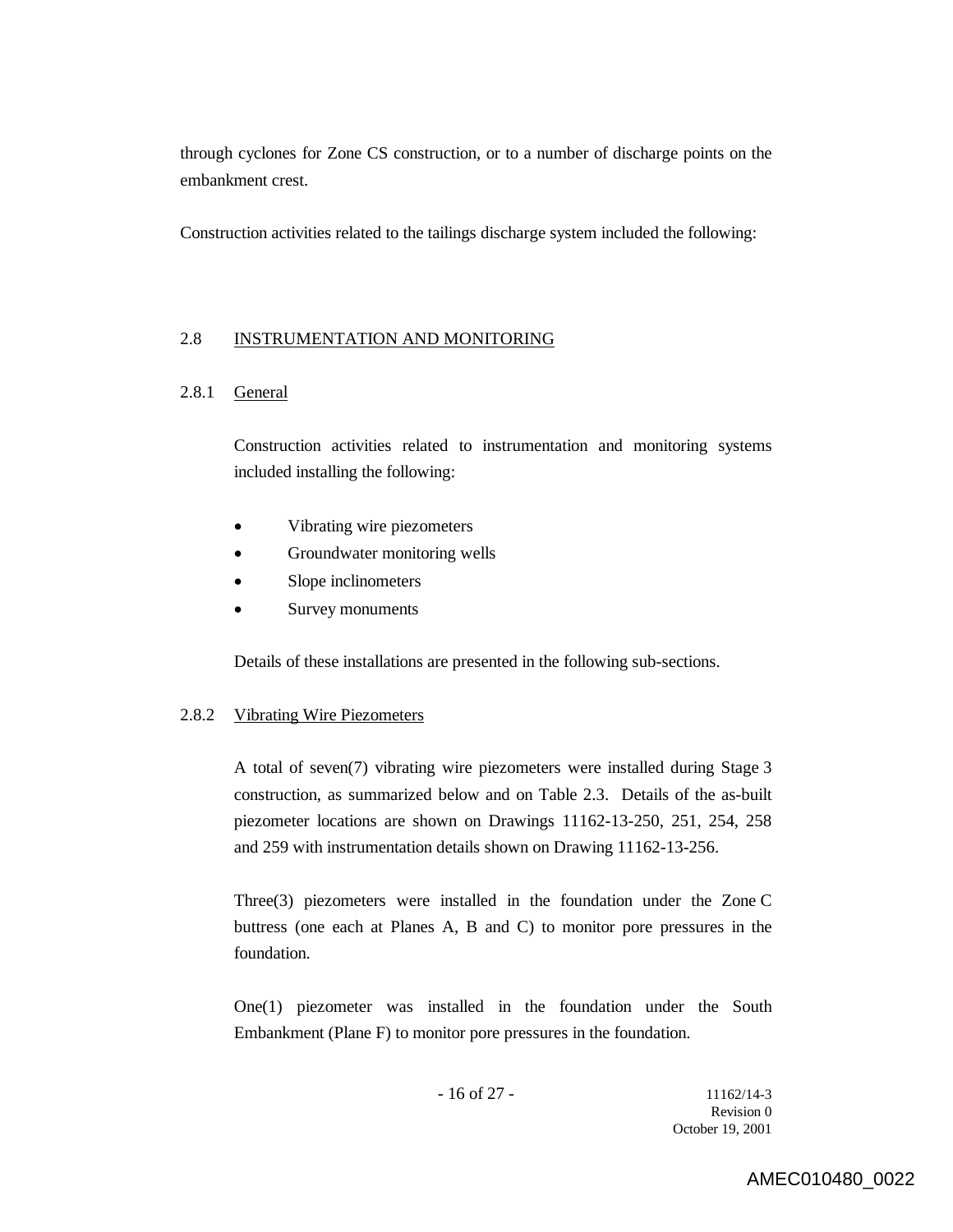through cyclones for Zone CS construction, or to a number of discharge points on the embankment crest.

Construction activities related to the tailings discharge system included the following:

#### 2.8 INSTRUMENTATION AND MONITORING

### 2.8.1 General

Construction activities related to instrumentation and monitoring systems included installing the following:

- Vibrating wire piezometers
- Groundwater monitoring wells
- Slope inclinometers
- Survey monuments

Details of these installations are presented in the following sub-sections.

#### 2.8.2 Vibrating Wire Piezometers

A total of seven(7) vibrating wire piezometers were installed during Stage 3 construction, as summarized below and on Table 2.3. Details of the as-built piezometer locations are shown on Drawings 11162-13-250, 251, 254, 258 and 259 with instrumentation details shown on Drawing 11162-13-256.

Three(3) piezometers were installed in the foundation under the Zone C buttress (one each at Planes A, B and C) to monitor pore pressures in the foundation.

One(1) piezometer was installed in the foundation under the South Embankment (Plane F) to monitor pore pressures in the foundation.

- 16 of 27 - 11162/14-3 Revision 0 October 19, 2001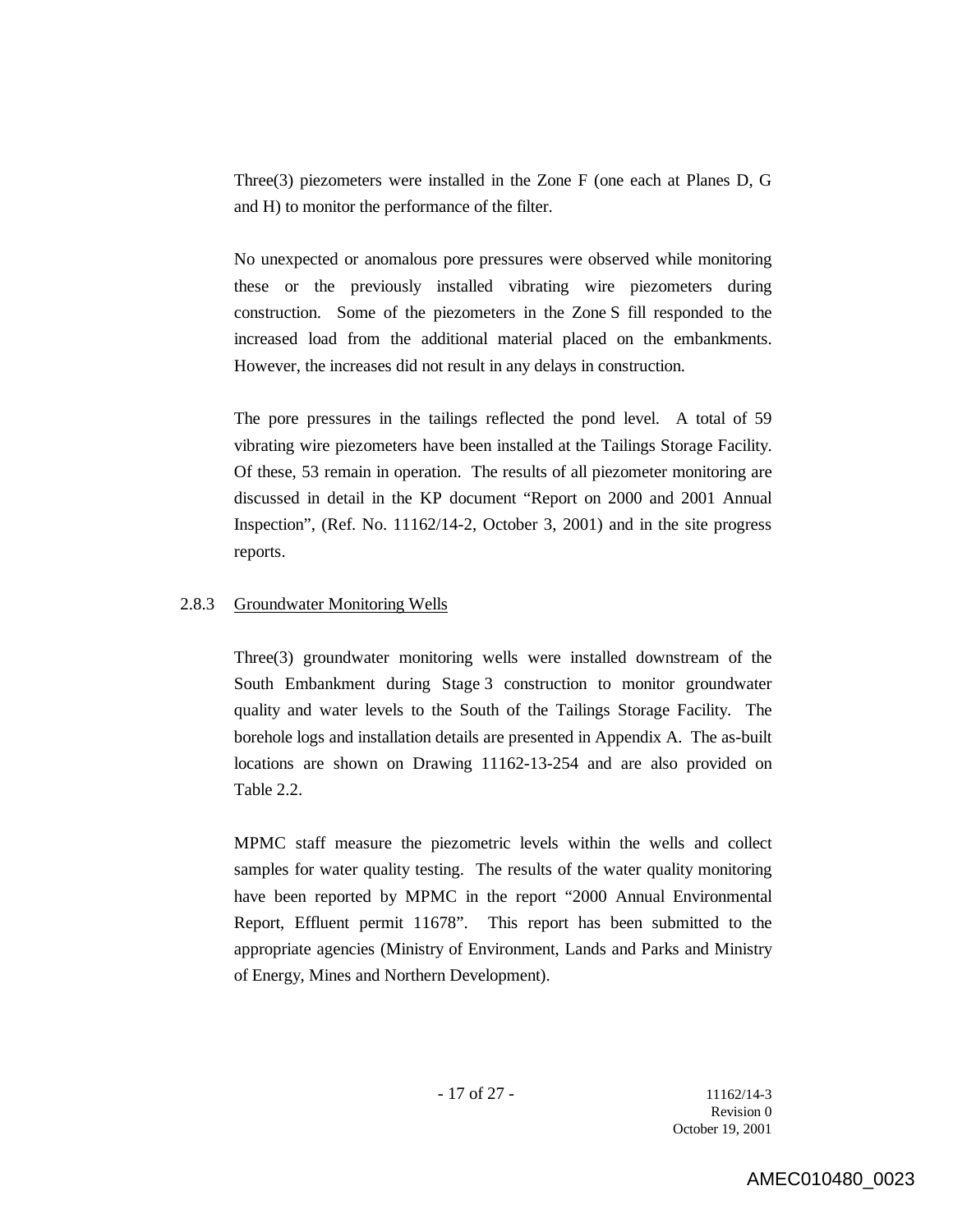Three(3) piezometers were installed in the Zone F (one each at Planes D, G and H) to monitor the performance of the filter.

No unexpected or anomalous pore pressures were observed while monitoring these or the previously installed vibrating wire piezometers during construction. Some of the piezometers in the Zone S fill responded to the increased load from the additional material placed on the embankments. However, the increases did not result in any delays in construction.

The pore pressures in the tailings reflected the pond level. A total of 59 vibrating wire piezometers have been installed at the Tailings Storage Facility. Of these, 53 remain in operation. The results of all piezometer monitoring are discussed in detail in the KP document "Report on 2000 and 2001 Annual Inspection", (Ref. No. 11162/14-2, October 3, 2001) and in the site progress reports.

#### 2.8.3 Groundwater Monitoring Wells

Three(3) groundwater monitoring wells were installed downstream of the South Embankment during Stage 3 construction to monitor groundwater quality and water levels to the South of the Tailings Storage Facility. The borehole logs and installation details are presented in Appendix A. The as-built locations are shown on Drawing 11162-13-254 and are also provided on Table 2.2.

MPMC staff measure the piezometric levels within the wells and collect samples for water quality testing. The results of the water quality monitoring have been reported by MPMC in the report "2000 Annual Environmental Report, Effluent permit 11678". This report has been submitted to the appropriate agencies (Ministry of Environment, Lands and Parks and Ministry of Energy, Mines and Northern Development).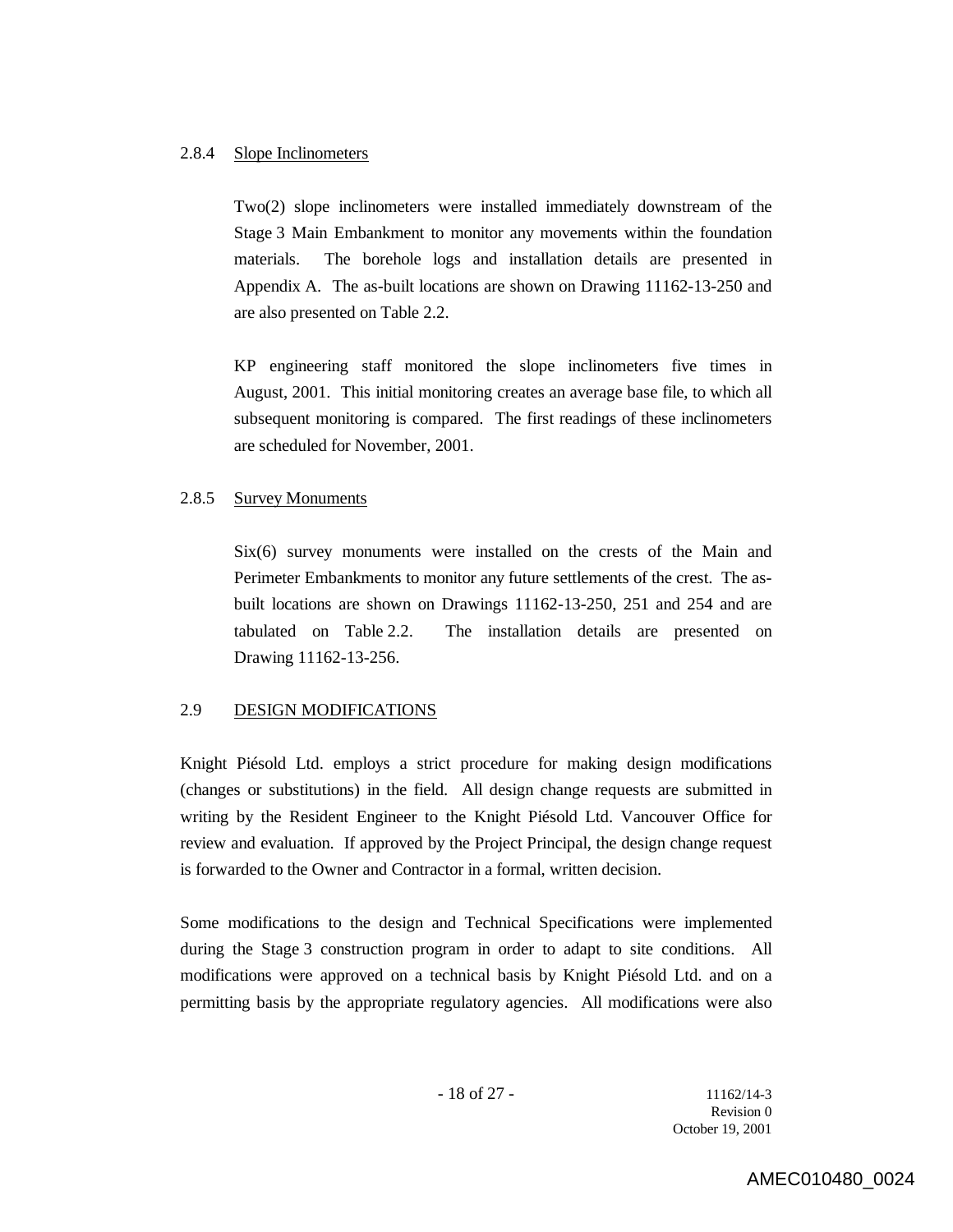#### 2.8.4 Slope Inclinometers

Two(2) slope inclinometers were installed immediately downstream of the Stage 3 Main Embankment to monitor any movements within the foundation materials. The borehole logs and installation details are presented in Appendix A. The as-built locations are shown on Drawing 11162-13-250 and are also presented on Table 2.2.

KP engineering staff monitored the slope inclinometers five times in August, 2001. This initial monitoring creates an average base file, to which all subsequent monitoring is compared. The first readings of these inclinometers are scheduled for November, 2001.

#### 2.8.5 Survey Monuments

Six(6) survey monuments were installed on the crests of the Main and Perimeter Embankments to monitor any future settlements of the crest. The asbuilt locations are shown on Drawings 11162-13-250, 251 and 254 and are tabulated on Table 2.2. The installation details are presented on Drawing 11162-13-256.

### 2.9 DESIGN MODIFICATIONS

Knight Piésold Ltd. employs a strict procedure for making design modifications (changes or substitutions) in the field. All design change requests are submitted in writing by the Resident Engineer to the Knight Piésold Ltd. Vancouver Office for review and evaluation. If approved by the Project Principal, the design change request is forwarded to the Owner and Contractor in a formal, written decision.

Some modifications to the design and Technical Specifications were implemented during the Stage 3 construction program in order to adapt to site conditions. All modifications were approved on a technical basis by Knight Piésold Ltd. and on a permitting basis by the appropriate regulatory agencies. All modifications were also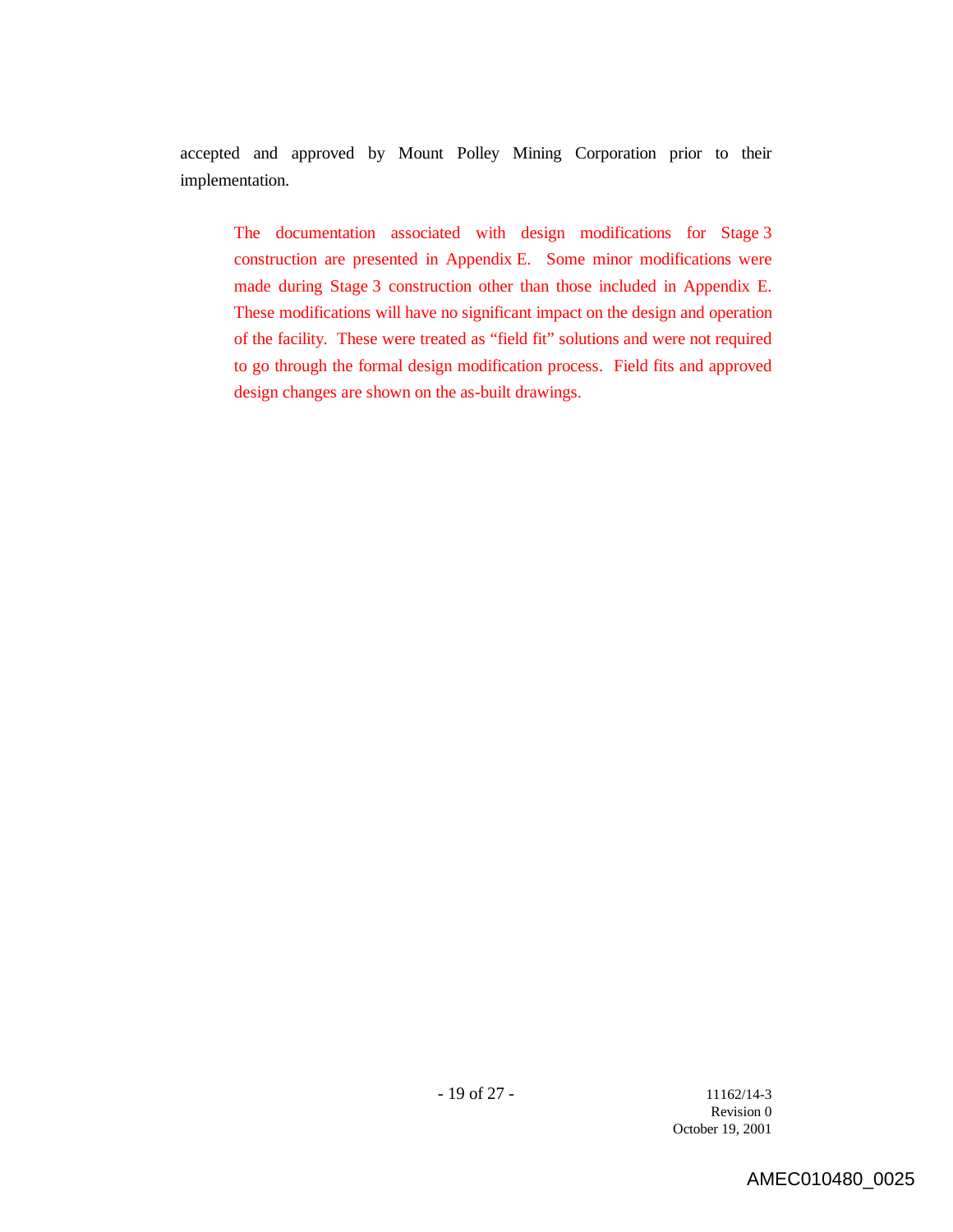accepted and approved by Mount Polley Mining Corporation prior to their implementation.

The documentation associated with design modifications for Stage 3 construction are presented in Appendix E. Some minor modifications were made during Stage 3 construction other than those included in Appendix E. These modifications will have no significant impact on the design and operation of the facility. These were treated as "field fit" solutions and were not required to go through the formal design modification process. Field fits and approved design changes are shown on the as-built drawings.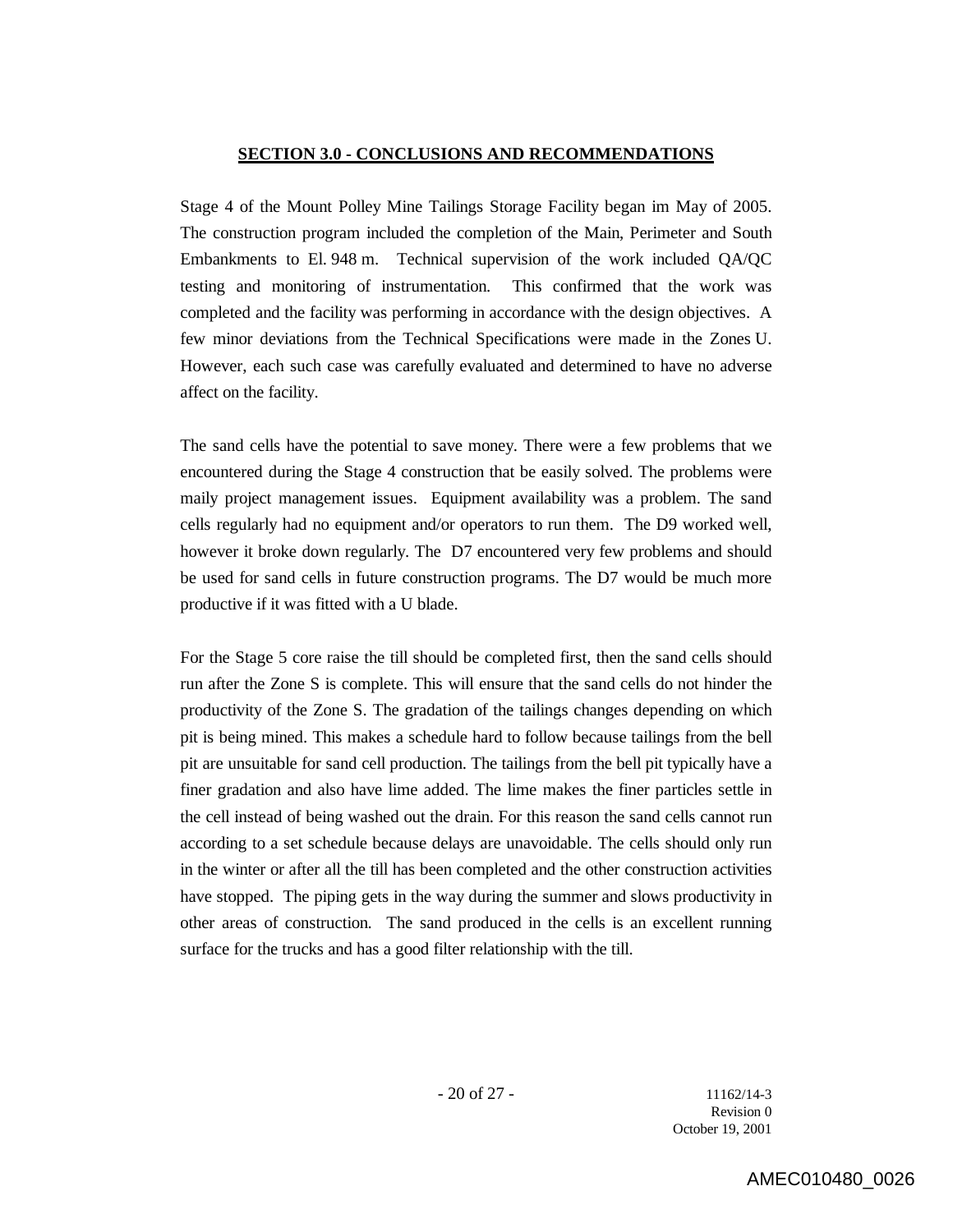#### **SECTION 3.0 - CONCLUSIONS AND RECOMMENDATIONS**

Stage 4 of the Mount Polley Mine Tailings Storage Facility began im May of 2005. The construction program included the completion of the Main, Perimeter and South Embankments to El. 948 m. Technical supervision of the work included QA/QC testing and monitoring of instrumentation. This confirmed that the work was completed and the facility was performing in accordance with the design objectives. A few minor deviations from the Technical Specifications were made in the Zones U. However, each such case was carefully evaluated and determined to have no adverse affect on the facility.

The sand cells have the potential to save money. There were a few problems that we encountered during the Stage 4 construction that be easily solved. The problems were maily project management issues. Equipment availability was a problem. The sand cells regularly had no equipment and/or operators to run them. The D9 worked well, however it broke down regularly. The D7 encountered very few problems and should be used for sand cells in future construction programs. The D7 would be much more productive if it was fitted with a U blade.

For the Stage 5 core raise the till should be completed first, then the sand cells should run after the Zone S is complete. This will ensure that the sand cells do not hinder the productivity of the Zone S. The gradation of the tailings changes depending on which pit is being mined. This makes a schedule hard to follow because tailings from the bell pit are unsuitable for sand cell production. The tailings from the bell pit typically have a finer gradation and also have lime added. The lime makes the finer particles settle in the cell instead of being washed out the drain. For this reason the sand cells cannot run according to a set schedule because delays are unavoidable. The cells should only run in the winter or after all the till has been completed and the other construction activities have stopped. The piping gets in the way during the summer and slows productivity in other areas of construction. The sand produced in the cells is an excellent running surface for the trucks and has a good filter relationship with the till.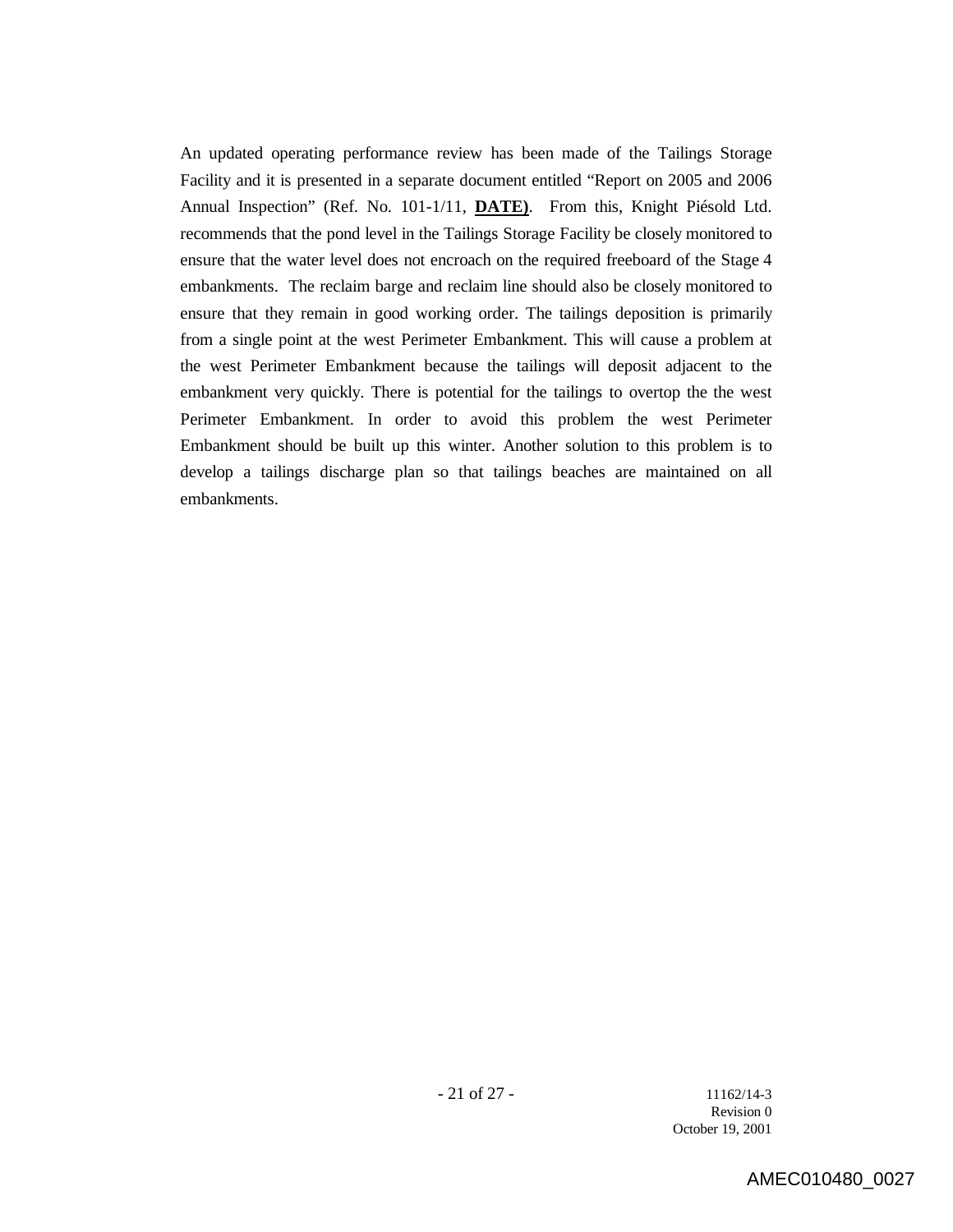An updated operating performance review has been made of the Tailings Storage Facility and it is presented in a separate document entitled "Report on 2005 and 2006 Annual Inspection" (Ref. No. 101-1/11, **DATE)**. From this, Knight Piésold Ltd. recommends that the pond level in the Tailings Storage Facility be closely monitored to ensure that the water level does not encroach on the required freeboard of the Stage 4 embankments. The reclaim barge and reclaim line should also be closely monitored to ensure that they remain in good working order. The tailings deposition is primarily from a single point at the west Perimeter Embankment. This will cause a problem at the west Perimeter Embankment because the tailings will deposit adjacent to the embankment very quickly. There is potential for the tailings to overtop the the west Perimeter Embankment. In order to avoid this problem the west Perimeter Embankment should be built up this winter. Another solution to this problem is to develop a tailings discharge plan so that tailings beaches are maintained on all embankments.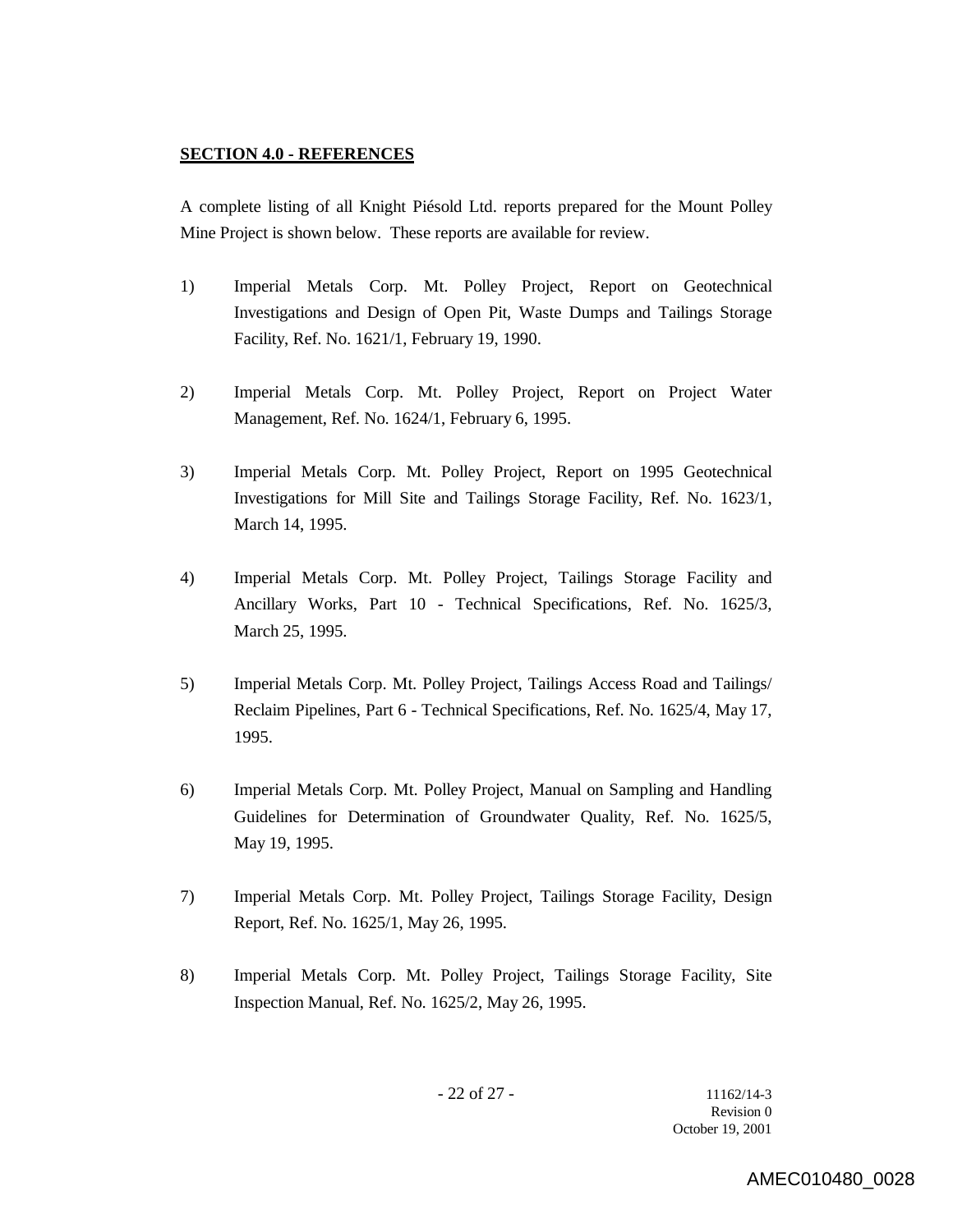## **SECTION 4.0 - REFERENCES**

A complete listing of all Knight Piésold Ltd. reports prepared for the Mount Polley Mine Project is shown below. These reports are available for review.

- 1) Imperial Metals Corp. Mt. Polley Project, Report on Geotechnical Investigations and Design of Open Pit, Waste Dumps and Tailings Storage Facility, Ref. No. 1621/1, February 19, 1990.
- 2) Imperial Metals Corp. Mt. Polley Project, Report on Project Water Management, Ref. No. 1624/1, February 6, 1995.
- 3) Imperial Metals Corp. Mt. Polley Project, Report on 1995 Geotechnical Investigations for Mill Site and Tailings Storage Facility, Ref. No. 1623/1, March 14, 1995.
- 4) Imperial Metals Corp. Mt. Polley Project, Tailings Storage Facility and Ancillary Works, Part 10 - Technical Specifications, Ref. No. 1625/3, March 25, 1995.
- 5) Imperial Metals Corp. Mt. Polley Project, Tailings Access Road and Tailings/ Reclaim Pipelines, Part 6 - Technical Specifications, Ref. No. 1625/4, May 17, 1995.
- 6) Imperial Metals Corp. Mt. Polley Project, Manual on Sampling and Handling Guidelines for Determination of Groundwater Quality, Ref. No. 1625/5, May 19, 1995.
- 7) Imperial Metals Corp. Mt. Polley Project, Tailings Storage Facility, Design Report, Ref. No. 1625/1, May 26, 1995.
- 8) Imperial Metals Corp. Mt. Polley Project, Tailings Storage Facility, Site Inspection Manual, Ref. No. 1625/2, May 26, 1995.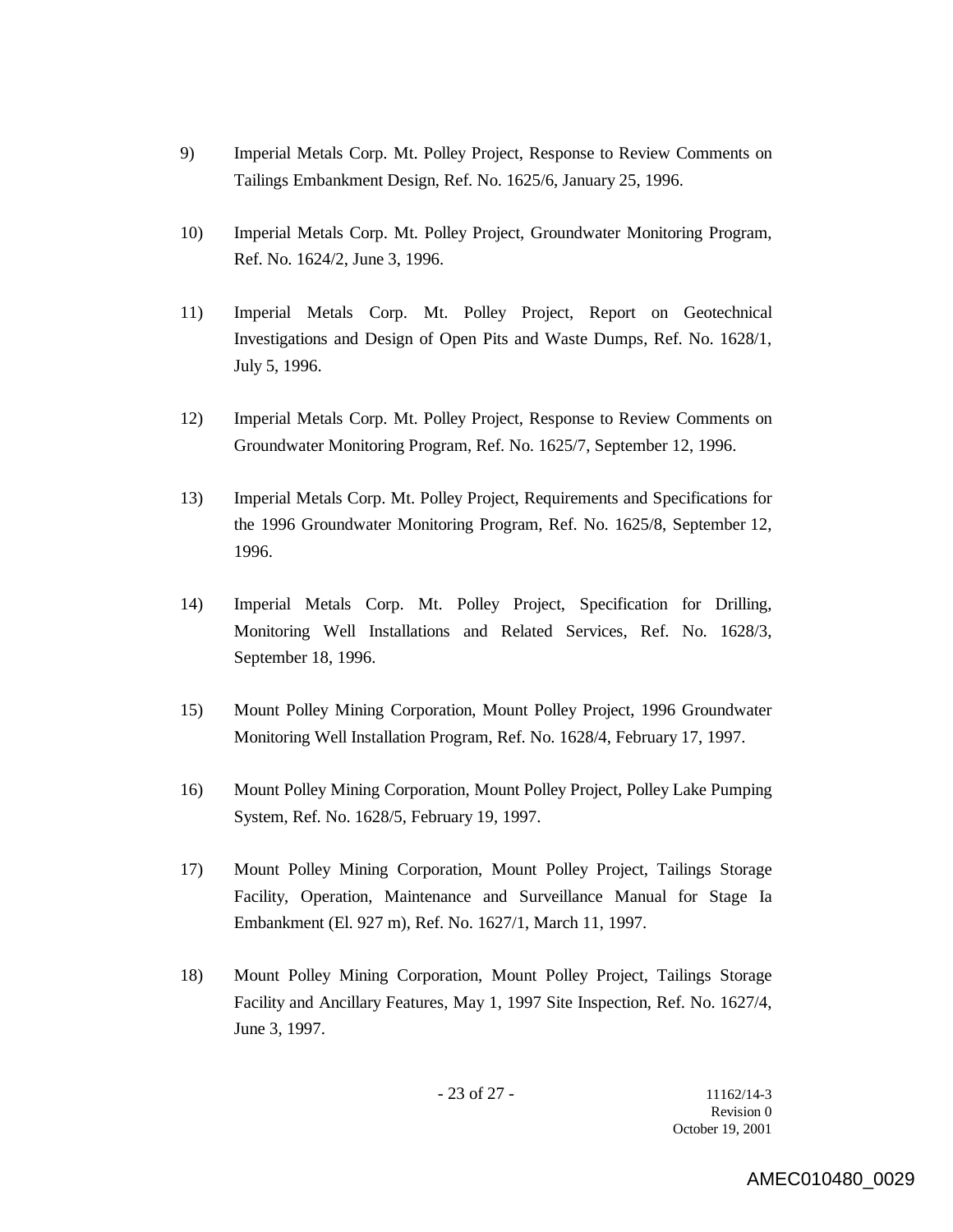- 9) Imperial Metals Corp. Mt. Polley Project, Response to Review Comments on Tailings Embankment Design, Ref. No. 1625/6, January 25, 1996.
- 10) Imperial Metals Corp. Mt. Polley Project, Groundwater Monitoring Program, Ref. No. 1624/2, June 3, 1996.
- 11) Imperial Metals Corp. Mt. Polley Project, Report on Geotechnical Investigations and Design of Open Pits and Waste Dumps, Ref. No. 1628/1, July 5, 1996.
- 12) Imperial Metals Corp. Mt. Polley Project, Response to Review Comments on Groundwater Monitoring Program, Ref. No. 1625/7, September 12, 1996.
- 13) Imperial Metals Corp. Mt. Polley Project, Requirements and Specifications for the 1996 Groundwater Monitoring Program, Ref. No. 1625/8, September 12, 1996.
- 14) Imperial Metals Corp. Mt. Polley Project, Specification for Drilling, Monitoring Well Installations and Related Services, Ref. No. 1628/3, September 18, 1996.
- 15) Mount Polley Mining Corporation, Mount Polley Project, 1996 Groundwater Monitoring Well Installation Program, Ref. No. 1628/4, February 17, 1997.
- 16) Mount Polley Mining Corporation, Mount Polley Project, Polley Lake Pumping System, Ref. No. 1628/5, February 19, 1997.
- 17) Mount Polley Mining Corporation, Mount Polley Project, Tailings Storage Facility, Operation, Maintenance and Surveillance Manual for Stage Ia Embankment (El. 927 m), Ref. No. 1627/1, March 11, 1997.
- 18) Mount Polley Mining Corporation, Mount Polley Project, Tailings Storage Facility and Ancillary Features, May 1, 1997 Site Inspection, Ref. No. 1627/4, June 3, 1997.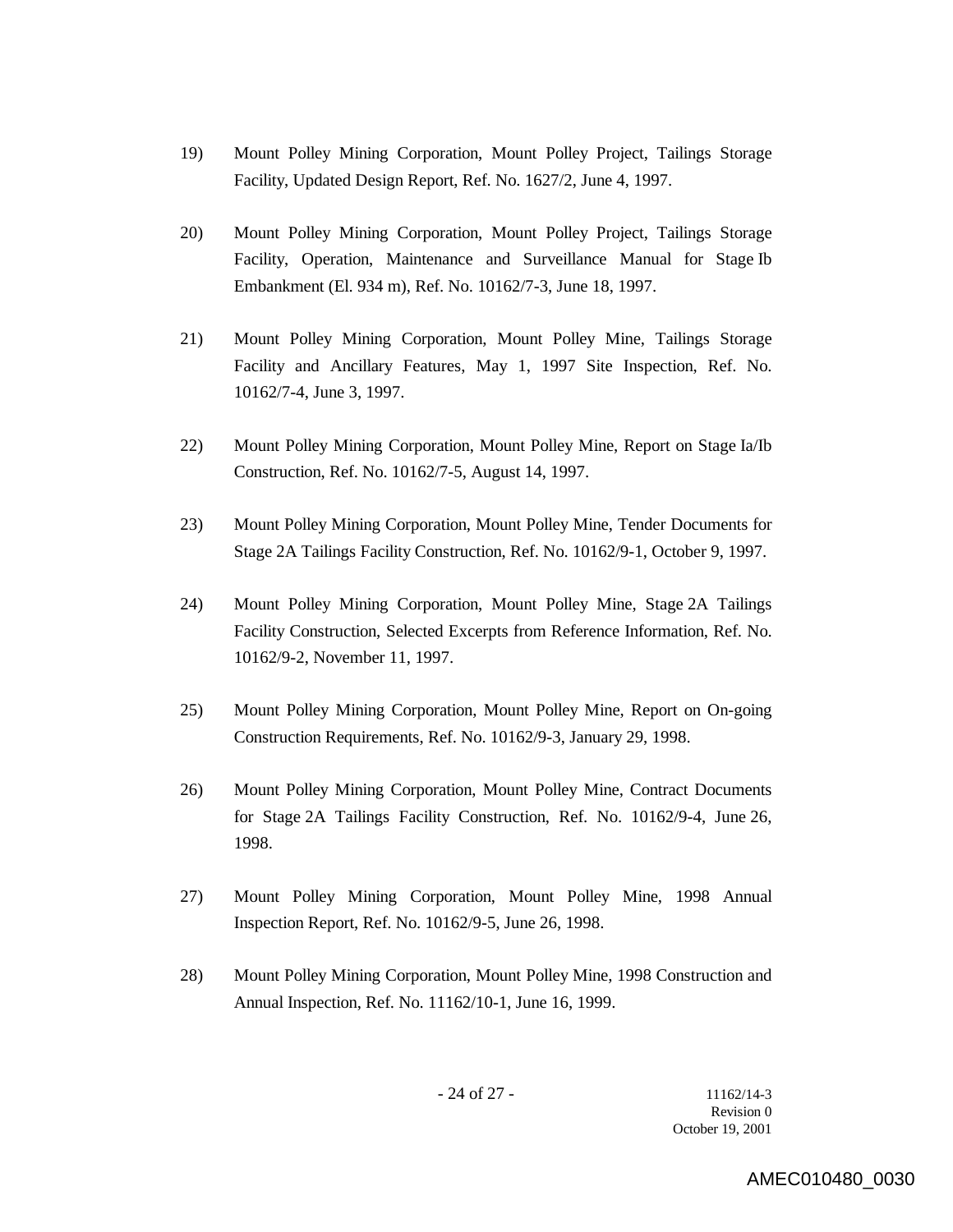- 19) Mount Polley Mining Corporation, Mount Polley Project, Tailings Storage Facility, Updated Design Report, Ref. No. 1627/2, June 4, 1997.
- 20) Mount Polley Mining Corporation, Mount Polley Project, Tailings Storage Facility, Operation, Maintenance and Surveillance Manual for Stage Ib Embankment (El. 934 m), Ref. No. 10162/7-3, June 18, 1997.
- 21) Mount Polley Mining Corporation, Mount Polley Mine, Tailings Storage Facility and Ancillary Features, May 1, 1997 Site Inspection, Ref. No. 10162/7-4, June 3, 1997.
- 22) Mount Polley Mining Corporation, Mount Polley Mine, Report on Stage Ia/Ib Construction, Ref. No. 10162/7-5, August 14, 1997.
- 23) Mount Polley Mining Corporation, Mount Polley Mine, Tender Documents for Stage 2A Tailings Facility Construction, Ref. No. 10162/9-1, October 9, 1997.
- 24) Mount Polley Mining Corporation, Mount Polley Mine, Stage 2A Tailings Facility Construction, Selected Excerpts from Reference Information, Ref. No. 10162/9-2, November 11, 1997.
- 25) Mount Polley Mining Corporation, Mount Polley Mine, Report on On-going Construction Requirements, Ref. No. 10162/9-3, January 29, 1998.
- 26) Mount Polley Mining Corporation, Mount Polley Mine, Contract Documents for Stage 2A Tailings Facility Construction, Ref. No. 10162/9-4, June 26, 1998.
- 27) Mount Polley Mining Corporation, Mount Polley Mine, 1998 Annual Inspection Report, Ref. No. 10162/9-5, June 26, 1998.
- 28) Mount Polley Mining Corporation, Mount Polley Mine, 1998 Construction and Annual Inspection, Ref. No. 11162/10-1, June 16, 1999.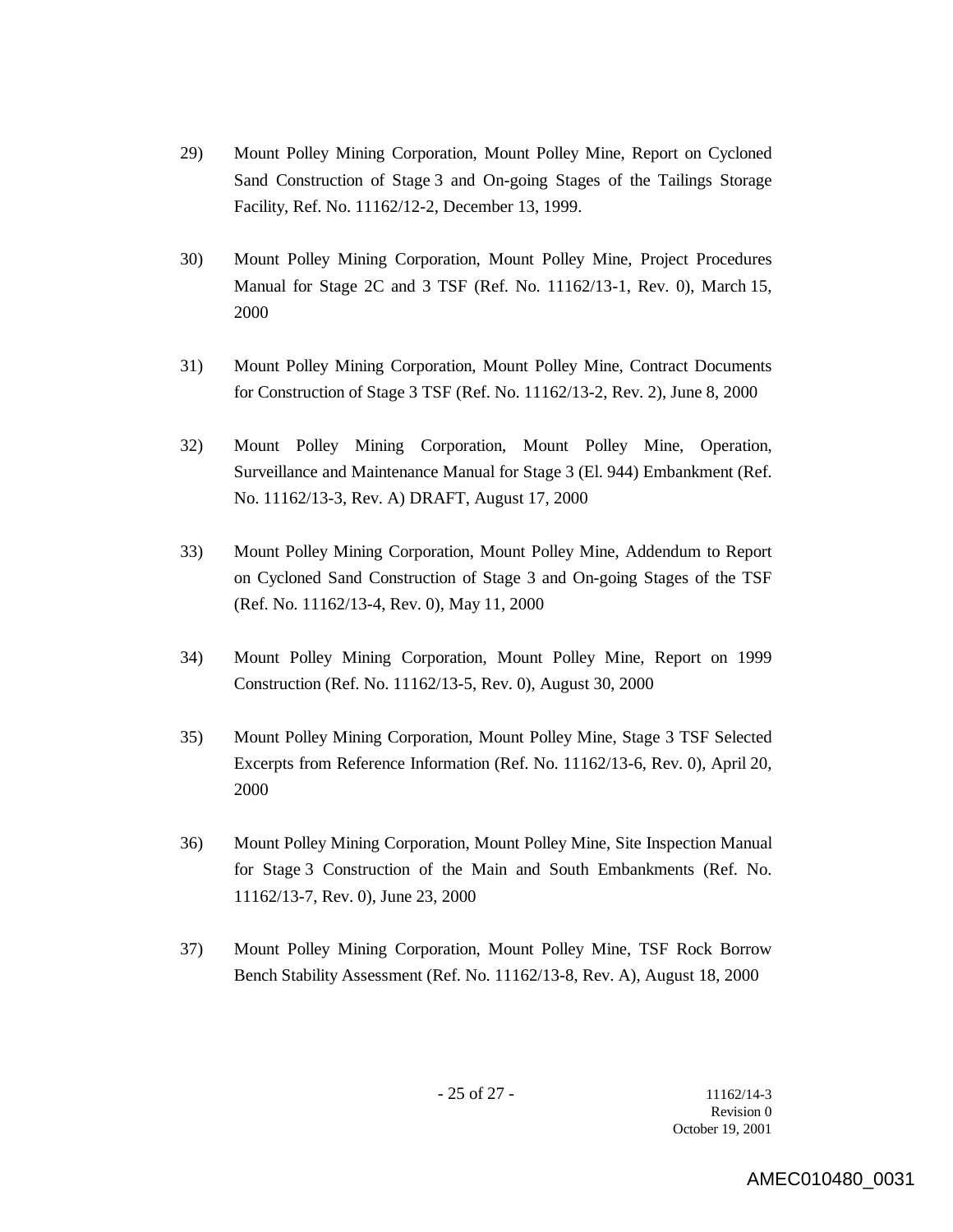- 29) Mount Polley Mining Corporation, Mount Polley Mine, Report on Cycloned Sand Construction of Stage 3 and On-going Stages of the Tailings Storage Facility, Ref. No. 11162/12-2, December 13, 1999.
- 30) Mount Polley Mining Corporation, Mount Polley Mine, Project Procedures Manual for Stage 2C and 3 TSF (Ref. No. 11162/13-1, Rev. 0), March 15, 2000
- 31) Mount Polley Mining Corporation, Mount Polley Mine, Contract Documents for Construction of Stage 3 TSF (Ref. No. 11162/13-2, Rev. 2), June 8, 2000
- 32) Mount Polley Mining Corporation, Mount Polley Mine, Operation, Surveillance and Maintenance Manual for Stage 3 (El. 944) Embankment (Ref. No. 11162/13-3, Rev. A) DRAFT, August 17, 2000
- 33) Mount Polley Mining Corporation, Mount Polley Mine, Addendum to Report on Cycloned Sand Construction of Stage 3 and On-going Stages of the TSF (Ref. No. 11162/13-4, Rev. 0), May 11, 2000
- 34) Mount Polley Mining Corporation, Mount Polley Mine, Report on 1999 Construction (Ref. No. 11162/13-5, Rev. 0), August 30, 2000
- 35) Mount Polley Mining Corporation, Mount Polley Mine, Stage 3 TSF Selected Excerpts from Reference Information (Ref. No. 11162/13-6, Rev. 0), April 20, 2000
- 36) Mount Polley Mining Corporation, Mount Polley Mine, Site Inspection Manual for Stage 3 Construction of the Main and South Embankments (Ref. No. 11162/13-7, Rev. 0), June 23, 2000
- 37) Mount Polley Mining Corporation, Mount Polley Mine, TSF Rock Borrow Bench Stability Assessment (Ref. No. 11162/13-8, Rev. A), August 18, 2000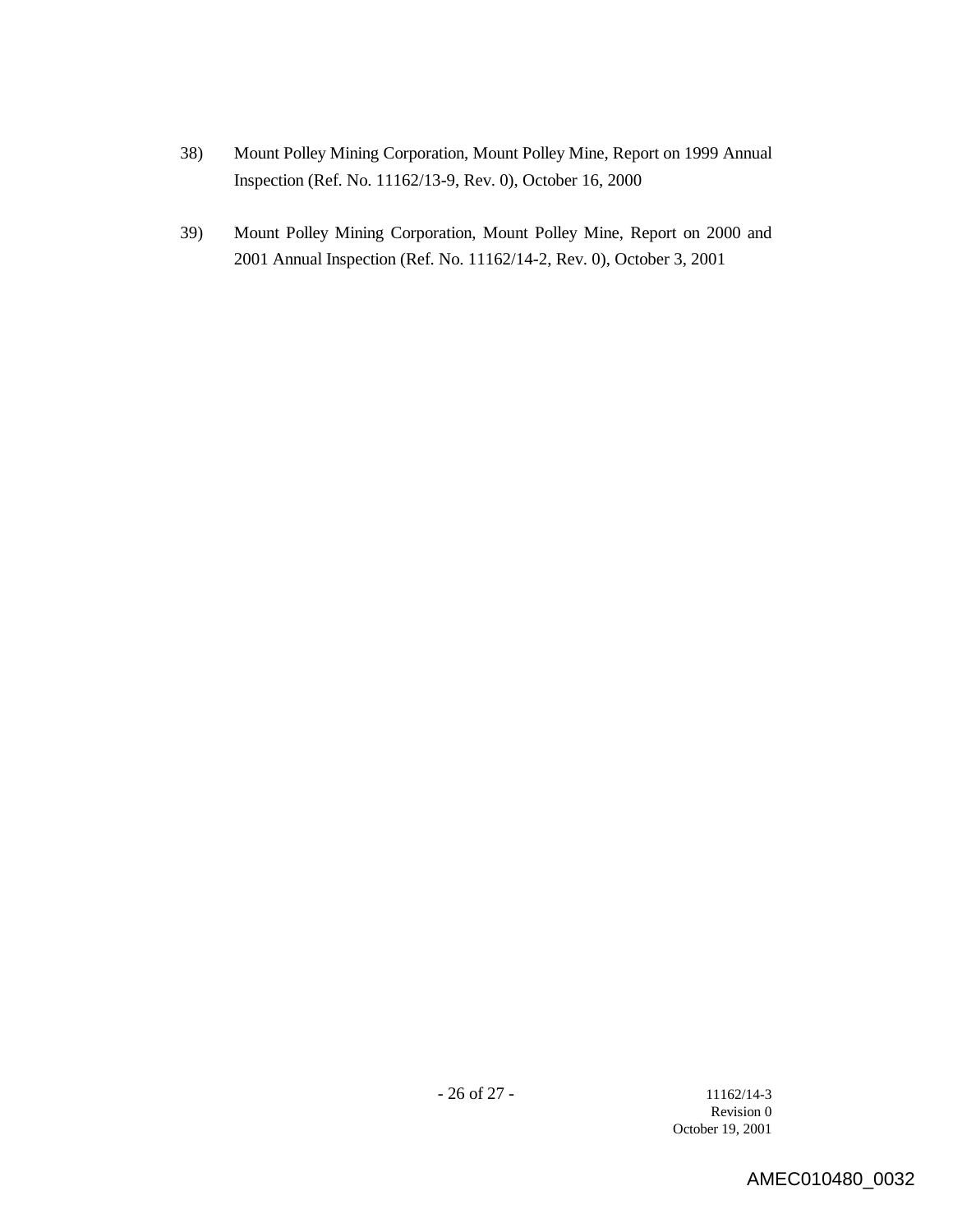- 38) Mount Polley Mining Corporation, Mount Polley Mine, Report on 1999 Annual Inspection (Ref. No. 11162/13-9, Rev. 0), October 16, 2000
- 39) Mount Polley Mining Corporation, Mount Polley Mine, Report on 2000 and 2001 Annual Inspection (Ref. No. 11162/14-2, Rev. 0), October 3, 2001